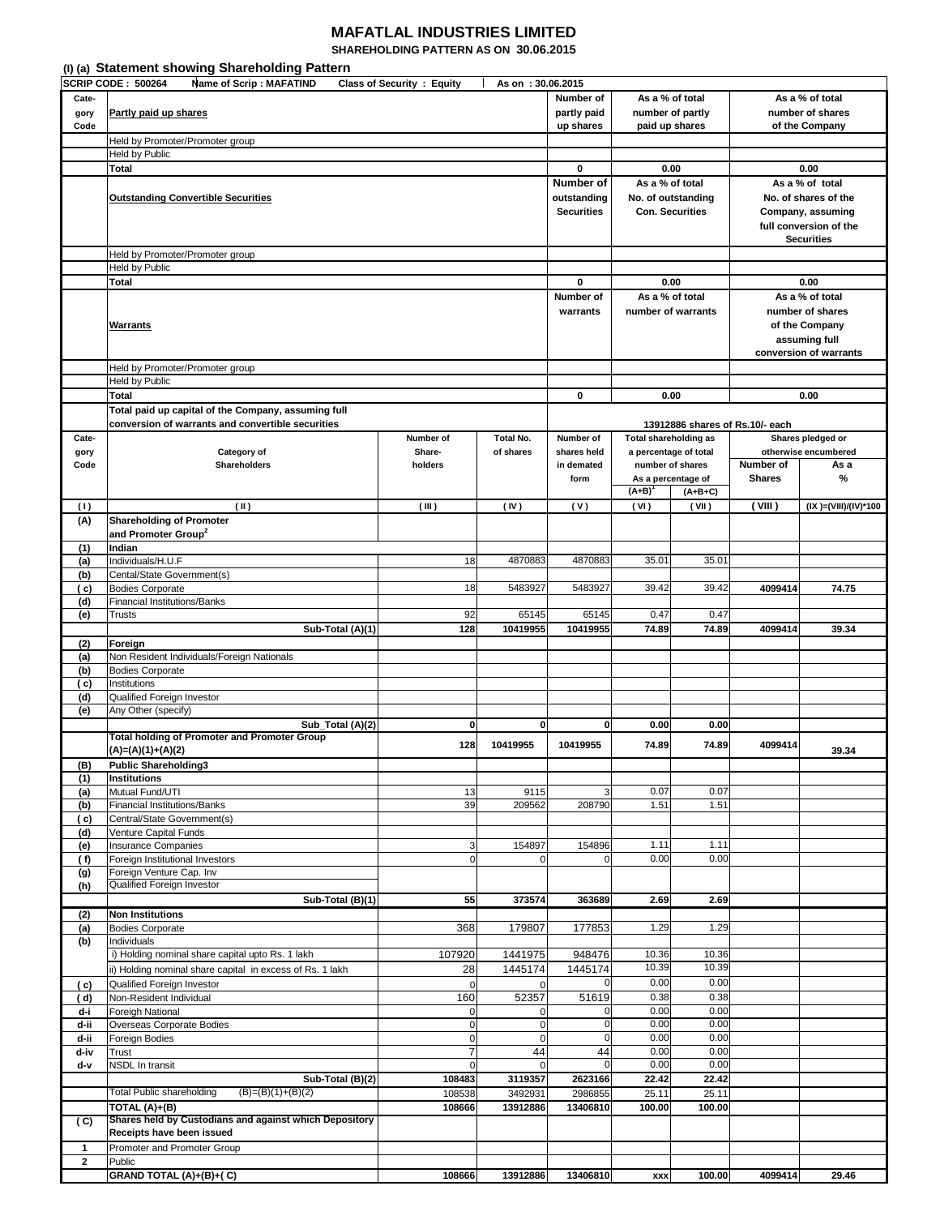## **MAFATLAL INDUSTRIES LIMITED**

**SHAREHOLDING PATTERN AS ON 30.06.2015** 

|              | (I) (a) Statement showing Shareholding Pattern              |                                   |                   |                    |                              |                        |                                 |                        |  |  |
|--------------|-------------------------------------------------------------|-----------------------------------|-------------------|--------------------|------------------------------|------------------------|---------------------------------|------------------------|--|--|
|              | <b>SCRIP CODE: 500264</b><br><b>Name of Scrip: MAFATIND</b> | <b>Class of Security : Equity</b> | As on: 30.06.2015 |                    |                              |                        |                                 |                        |  |  |
| Cate-        |                                                             |                                   |                   | Number of          |                              | As a % of total        |                                 | As a % of total        |  |  |
| gory         | Partly paid up shares                                       |                                   |                   | partly paid        |                              | number of partly       |                                 | number of shares       |  |  |
| Code         |                                                             |                                   |                   | up shares          |                              | paid up shares         |                                 | of the Company         |  |  |
|              | Held by Promoter/Promoter group                             |                                   |                   |                    |                              |                        |                                 |                        |  |  |
|              | Held by Public                                              |                                   |                   |                    |                              |                        |                                 |                        |  |  |
|              | <b>Total</b>                                                |                                   |                   | 0                  |                              | 0.00                   |                                 | 0.00                   |  |  |
|              |                                                             |                                   |                   | Number of          | As a % of total              |                        |                                 | As a % of total        |  |  |
|              | <b>Outstanding Convertible Securities</b>                   |                                   |                   | outstanding        |                              | No. of outstanding     |                                 | No. of shares of the   |  |  |
|              |                                                             |                                   |                   | <b>Securities</b>  |                              | <b>Con. Securities</b> |                                 | Company, assuming      |  |  |
|              |                                                             |                                   |                   |                    |                              |                        |                                 | full conversion of the |  |  |
|              |                                                             |                                   |                   |                    |                              |                        |                                 | <b>Securities</b>      |  |  |
|              |                                                             |                                   |                   |                    |                              |                        |                                 |                        |  |  |
|              | Held by Promoter/Promoter group<br>Held by Public           |                                   |                   |                    |                              |                        |                                 |                        |  |  |
|              |                                                             |                                   |                   |                    |                              |                        | 0.00                            |                        |  |  |
|              | <b>Total</b>                                                |                                   | 0<br>Number of    |                    | 0.00<br>As a % of total      | As a % of total        |                                 |                        |  |  |
|              |                                                             |                                   |                   |                    |                              |                        |                                 |                        |  |  |
|              |                                                             | warrants                          |                   | number of warrants | number of shares             |                        |                                 |                        |  |  |
|              | Warrants                                                    |                                   |                   |                    |                              | of the Company         |                                 |                        |  |  |
|              |                                                             |                                   |                   |                    |                              | assuming full          |                                 |                        |  |  |
|              |                                                             |                                   |                   |                    |                              |                        |                                 | conversion of warrants |  |  |
|              | Held by Promoter/Promoter group                             |                                   |                   |                    |                              |                        |                                 |                        |  |  |
|              | Held by Public                                              |                                   |                   |                    |                              |                        |                                 |                        |  |  |
|              | <b>Total</b>                                                |                                   |                   | 0                  |                              | 0.00                   |                                 | 0.00                   |  |  |
|              | Total paid up capital of the Company, assuming full         |                                   |                   |                    |                              |                        |                                 |                        |  |  |
|              | conversion of warrants and convertible securities           |                                   |                   |                    |                              |                        | 13912886 shares of Rs.10/- each |                        |  |  |
| Cate-        |                                                             | Number of                         | <b>Total No.</b>  | Number of          | <b>Total shareholding as</b> |                        |                                 | Shares pledged or      |  |  |
| gory         | Category of                                                 | Share-                            | of shares         | shares held        |                              | a percentage of total  |                                 | otherwise encumbered   |  |  |
| Code         | <b>Shareholders</b>                                         | holders                           |                   | in demated         |                              | number of shares       | Number of                       | As a                   |  |  |
|              |                                                             |                                   |                   | form               |                              | As a percentage of     | <b>Shares</b>                   | %                      |  |  |
|              |                                                             |                                   |                   |                    | $(A+B)^{1}$                  | $(A+B+C)$              |                                 |                        |  |  |
| (1)          | (II)                                                        | (III)                             | (IV)              | (V)                | (VI)                         | (VII)                  | ( VIII)                         | (IX )=(VIII)/(IV)*100  |  |  |
| (A)          | <b>Shareholding of Promoter</b>                             |                                   |                   |                    |                              |                        |                                 |                        |  |  |
|              | and Promoter Group <sup>2</sup>                             |                                   |                   |                    |                              |                        |                                 |                        |  |  |
| (1)          | Indian                                                      |                                   |                   |                    |                              |                        |                                 |                        |  |  |
| (a)          | Individuals/H.U.F                                           | 18                                | 4870883           | 4870883            | 35.01                        | 35.01                  |                                 |                        |  |  |
| (b)          | Cental/State Government(s)                                  |                                   |                   |                    |                              |                        |                                 |                        |  |  |
| ( c)         | <b>Bodies Corporate</b>                                     | 18                                | 5483927           | 5483927            | 39.42                        | 39.42                  | 4099414                         | 74.75                  |  |  |
| (d)          | <b>Financial Institutions/Banks</b>                         |                                   |                   |                    |                              |                        |                                 |                        |  |  |
| (e)          | <b>Trusts</b>                                               | 92                                | 65145             | 65145              | 0.47                         | 0.47                   |                                 |                        |  |  |
|              | Sub-Total (A)(1)                                            | 128                               | 10419955          | 10419955           | 74.89                        | 74.89                  | 4099414                         | 39.34                  |  |  |
| (2)          | Foreign                                                     |                                   |                   |                    |                              |                        |                                 |                        |  |  |
| (a)          | Non Resident Individuals/Foreign Nationals                  |                                   |                   |                    |                              |                        |                                 |                        |  |  |
| (b)          | <b>Bodies Corporate</b>                                     |                                   |                   |                    |                              |                        |                                 |                        |  |  |
| ( c)         | Institutions                                                |                                   |                   |                    |                              |                        |                                 |                        |  |  |
| (d)          | Qualified Foreign Investor                                  |                                   |                   |                    |                              |                        |                                 |                        |  |  |
| (e)          | Any Other (specify)                                         |                                   |                   |                    |                              |                        |                                 |                        |  |  |
|              | Sub_Total (A)(2)                                            | 0                                 | $\bf{0}$          | 0                  | 0.00                         | 0.00                   |                                 |                        |  |  |
|              | <b>Total holding of Promoter and Promoter Group</b>         | 128                               | 10419955          | 10419955           | 74.89                        | 74.89                  | 4099414                         |                        |  |  |
|              | $(A)=(A)(1)+(A)(2)$                                         |                                   |                   |                    |                              |                        |                                 | 39.34                  |  |  |
| (B)          | <b>Public Shareholding3</b>                                 |                                   |                   |                    |                              |                        |                                 |                        |  |  |
| (1)          | <b>Institutions</b>                                         |                                   |                   |                    |                              |                        |                                 |                        |  |  |
| (a)          | Mutual Fund/UTI                                             | 13                                | 9115              | 3                  | 0.07                         | 0.07                   |                                 |                        |  |  |
| (b)          | <b>Financial Institutions/Banks</b>                         | 39                                | 209562            | 208790             | 1.51                         | 1.51                   |                                 |                        |  |  |
| (c)          | Central/State Government(s)                                 |                                   |                   |                    |                              |                        |                                 |                        |  |  |
| (d)          | Venture Capital Funds                                       |                                   |                   |                    |                              |                        |                                 |                        |  |  |
| (e)          | Insurance Companies                                         | 3                                 | 154897            | 154896             | 1.11                         | 1.11                   |                                 |                        |  |  |
| (f)          | Foreign Institutional Investors                             | 0                                 | $\mathbf 0$       | $\mathbf 0$        | 0.00                         | 0.00                   |                                 |                        |  |  |
| (g)          | Foreign Venture Cap. Inv                                    |                                   |                   |                    |                              |                        |                                 |                        |  |  |
| (h)          | Qualified Foreign Investor                                  |                                   |                   |                    |                              |                        |                                 |                        |  |  |
|              | Sub-Total (B)(1)                                            | 55                                | 373574            | 363689             | 2.69                         | 2.69                   |                                 |                        |  |  |
| (2)          | <b>Non Institutions</b>                                     |                                   |                   |                    |                              |                        |                                 |                        |  |  |
| (a)          | <b>Bodies Corporate</b>                                     | 368                               | 179807            | 177853             | 1.29                         | 1.29                   |                                 |                        |  |  |
| (b)          | Individuals                                                 |                                   |                   |                    |                              |                        |                                 |                        |  |  |
|              | i) Holding nominal share capital upto Rs. 1 lakh            | 107920                            | 1441975           | 948476             | 10.36                        | 10.36                  |                                 |                        |  |  |
|              | ii) Holding nominal share capital in excess of Rs. 1 lakh   | 28                                | 1445174           | 1445174            | 10.39                        | 10.39                  |                                 |                        |  |  |
| ( c)         | Qualified Foreign Investor                                  | $\mathbf 0$                       | $\mathbf 0$       |                    | 0.00                         | 0.00                   |                                 |                        |  |  |
| ( d)         | Non-Resident Individual                                     | 160                               | 52357             | 51619              | 0.38                         | 0.38                   |                                 |                        |  |  |
| d-i          | Foreigh National                                            | 0                                 | $\mathbf 0$       |                    | 0.00                         | 0.00                   |                                 |                        |  |  |
| d-ii         | Overseas Corporate Bodies                                   | 0                                 | $\mathbf 0$       | 0                  | 0.00                         | 0.00                   |                                 |                        |  |  |
| d-ii         | Foreign Bodies                                              | 0                                 | $\mathbf 0$       | $\mathbf 0$        | 0.00                         | 0.00                   |                                 |                        |  |  |
| d-iv         | Trust                                                       | 7                                 | 44                | 44                 | 0.00                         | 0.00                   |                                 |                        |  |  |
| d-v          | NSDL In transit                                             | 0                                 | 0                 | $\mathbf 0$        | 0.00                         | 0.00                   |                                 |                        |  |  |
|              | Sub-Total (B)(2)                                            | 108483                            | 3119357           | 2623166            | 22.42                        | 22.42                  |                                 |                        |  |  |
|              | <b>Total Public shareholding</b><br>$(B)=(B)(1)+(B)(2)$     | 108538                            | 3492931           | 2986855            | 25.11                        | 25.11                  |                                 |                        |  |  |
|              | TOTAL (A)+(B)                                               | 108666                            | 13912886          | 13406810           | 100.00                       | 100.00                 |                                 |                        |  |  |
| (C)          | Shares held by Custodians and against which Depository      |                                   |                   |                    |                              |                        |                                 |                        |  |  |
|              | Receipts have been issued                                   |                                   |                   |                    |                              |                        |                                 |                        |  |  |
|              | Promoter and Promoter Group                                 |                                   |                   |                    |                              |                        |                                 |                        |  |  |
| 1            |                                                             |                                   |                   |                    |                              |                        |                                 |                        |  |  |
| $\mathbf{2}$ | Public<br>GRAND TOTAL (A)+(B)+(C)                           | 108666                            | 13912886          | 13406810           | <b>xxx</b>                   | 100.00                 | 4099414                         | 29.46                  |  |  |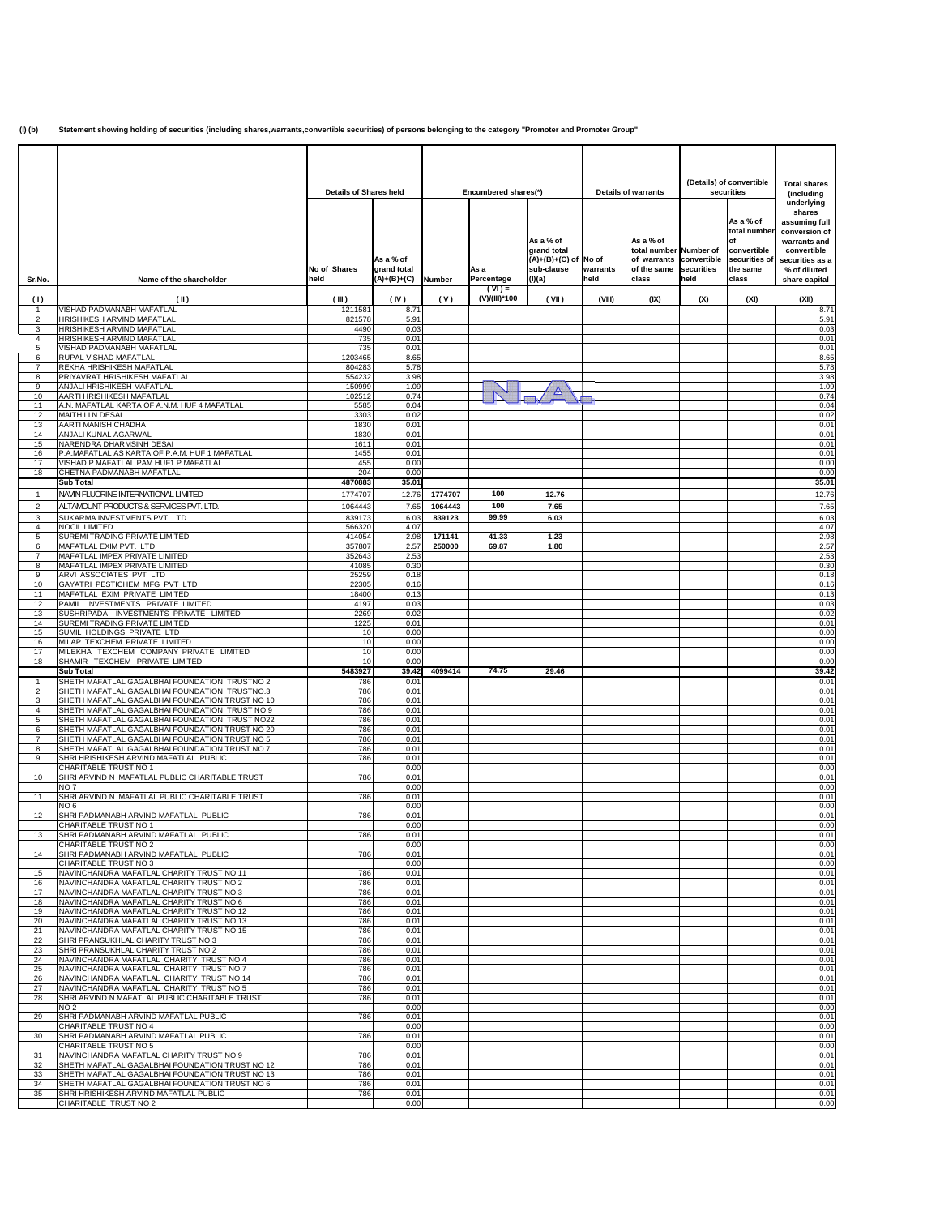**(I) (b) Statement showing holding of securities (including shares,warrants,convertible securities) of persons belonging to the category "Promoter and Promoter Group"**

|                     |                                                                                                   | <b>Details of Shares held</b> |                                           | Encumbered shares(*) |                           | <b>Details of warrants</b>                                           |                           | (Details) of convertible<br>securities                                                 |                    | <b>Total shares</b><br>(including                                                    |                                                                                                                                           |
|---------------------|---------------------------------------------------------------------------------------------------|-------------------------------|-------------------------------------------|----------------------|---------------------------|----------------------------------------------------------------------|---------------------------|----------------------------------------------------------------------------------------|--------------------|--------------------------------------------------------------------------------------|-------------------------------------------------------------------------------------------------------------------------------------------|
| Sr.No.              | Name of the shareholder                                                                           | No of Shares<br>held          | As a % of<br>grand total<br>$(A)+(B)+(C)$ | <b>Number</b>        | As a<br>Percentage        | As a % of<br>grand total<br>$(A)+(B)+(C)$ of<br>sub-clause<br>(I)(a) | No of<br>warrants<br>held | As a % of<br>total number Number of<br>of warrants convertible<br>of the same<br>class | securities<br>held | As a % of<br>total number<br>of<br>convertible<br>securities of<br>the same<br>class | underlying<br>shares<br>assuming full<br>conversion of<br>warrants and<br>convertible<br>securities as a<br>% of diluted<br>share capital |
| (1)                 | (II)                                                                                              | (III)                         | (IV)                                      | (V)                  | $(VI) =$<br>(V)/(III)*100 | (VII)                                                                | (VIII)                    | (IX)                                                                                   | (X)                | (XI)                                                                                 | (XII)                                                                                                                                     |
| 1<br>2              | VISHAD PADMANABH MAFATLAL<br>HRISHIKESH ARVIND MAFATLAL                                           | 1211581<br>821578             | 8.71<br>5.91                              |                      |                           |                                                                      |                           |                                                                                        |                    |                                                                                      | 8.71<br>5.91                                                                                                                              |
| 3                   | HRISHIKESH ARVIND MAFATLAL                                                                        | 4490                          | 0.03                                      |                      |                           |                                                                      |                           |                                                                                        |                    |                                                                                      | 0.03                                                                                                                                      |
| $\overline{4}$<br>5 | HRISHIKESH ARVIND MAFATLAL<br>VISHAD PADMANABH MAFATLAL                                           | 735<br>735                    | 0.01<br>0.01                              |                      |                           |                                                                      |                           |                                                                                        |                    |                                                                                      | 0.01<br>0.01                                                                                                                              |
| 6                   | RUPAL VISHAD MAFATLAL                                                                             | 1203465                       | 8.65                                      |                      |                           |                                                                      |                           |                                                                                        |                    |                                                                                      | 8.65                                                                                                                                      |
| $\overline{7}$<br>8 | REKHA HRISHIKESH MAFATLAL<br>PRIYAVRAT HRISHIKESH MAFATLAL                                        | 804283<br>554232              | 5.78<br>3.98                              |                      |                           |                                                                      |                           |                                                                                        |                    |                                                                                      | 5.78<br>3.98                                                                                                                              |
| 9                   | ANJALI HRISHIKESH MAFATLAL                                                                        | 150999                        | 1.09                                      |                      |                           |                                                                      |                           |                                                                                        |                    |                                                                                      | 1.09                                                                                                                                      |
| 10<br>11            | AARTI HRISHIKESH MAFATLAL<br>A.N. MAFATLAL KARTA OF A.N.M. HUF 4 MAFATLAL                         | 102512<br>5585                | 0.74<br>0.04                              |                      |                           |                                                                      |                           |                                                                                        |                    |                                                                                      | 0.74<br>0.04                                                                                                                              |
| 12                  | MAITHILI N DESAI                                                                                  | 3303                          | 0.02                                      |                      |                           |                                                                      |                           |                                                                                        |                    |                                                                                      | 0.02                                                                                                                                      |
| 13<br>14            | AARTI MANISH CHADHA<br>ANJALI KUNAL AGARWAL                                                       | 1830<br>1830                  | 0.01<br>0.01                              |                      |                           |                                                                      |                           |                                                                                        |                    |                                                                                      | 0.01<br>0.01                                                                                                                              |
| 15                  | NARENDRA DHARMSINH DESAI                                                                          | 1611                          | 0.01                                      |                      |                           |                                                                      |                           |                                                                                        |                    |                                                                                      | 0.01                                                                                                                                      |
| 16<br>17            | P.A.MAFATLAL AS KARTA OF P.A.M. HUF 1 MAFATLAL<br>VISHAD P.MAFATLAL PAM HUF1 P MAFATLAL           | 1455<br>455                   | 0.01<br>0.00                              |                      |                           |                                                                      |                           |                                                                                        |                    |                                                                                      | 0.01<br>0.00                                                                                                                              |
| 18                  | CHETNA PADMANABH MAFATLAL                                                                         | 204                           | 0.00                                      |                      |                           |                                                                      |                           |                                                                                        |                    |                                                                                      | 0.00                                                                                                                                      |
| $\mathbf{1}$        | <b>Sub Total</b><br>NAVIN FLUORINE INTERNATIONAL LIMITED                                          | 4870883<br>1774707            | 35.01<br>12.76                            | 1774707              | 100                       | 12.76                                                                |                           |                                                                                        |                    |                                                                                      | 35.01<br>12.76                                                                                                                            |
| $\overline{2}$      | ALTAMOUNT PRODUCTS & SERVICES PVT. LTD.                                                           | 1064443                       | 7.65                                      | 1064443              | 100                       | 7.65                                                                 |                           |                                                                                        |                    |                                                                                      | 7.65                                                                                                                                      |
| 3                   | SUKARMA INVESTMENTS PVT. LTD                                                                      | 839173                        | 6.03                                      | 839123               | 99.99                     | 6.03                                                                 |                           |                                                                                        |                    |                                                                                      | 6.03                                                                                                                                      |
| $\overline{4}$<br>5 | <b>NOCIL LIMITED</b><br>SUREMI TRADING PRIVATE LIMITED                                            | 566320<br>414054              | 4.07<br>2.98                              | 171141               | 41.33                     | 1.23                                                                 |                           |                                                                                        |                    |                                                                                      | 4.07<br>2.98                                                                                                                              |
| 6                   | MAFATLAL EXIM PVT. LTD                                                                            | 357807                        | 2.57                                      | 250000               | 69.87                     | 1.80                                                                 |                           |                                                                                        |                    |                                                                                      | 2.57                                                                                                                                      |
| $\overline{7}$<br>8 | MAFATLAL IMPEX PRIVATE LIMITED<br>MAFATLAL IMPEX PRIVATE LIMITED                                  | 352643<br>41085               | 2.53<br>0.30                              |                      |                           |                                                                      |                           |                                                                                        |                    |                                                                                      | 2.53<br>0.30                                                                                                                              |
| 9                   | ARVI ASSOCIATES PVT LTD                                                                           | 25259                         | 0.18                                      |                      |                           |                                                                      |                           |                                                                                        |                    |                                                                                      | 0.18                                                                                                                                      |
| 10<br>11            | GAYATRI PESTICHEM MFG PVT LTD<br>MAFATLAL EXIM PRIVATE LIMITED                                    | 22305<br>18400                | 0.16<br>0.13                              |                      |                           |                                                                      |                           |                                                                                        |                    |                                                                                      | 0.16<br>0.13                                                                                                                              |
| 12                  | PAMIL INVESTMENTS PRIVATE LIMITED                                                                 | 4197                          | 0.03                                      |                      |                           |                                                                      |                           |                                                                                        |                    |                                                                                      | 0.03                                                                                                                                      |
| 13<br>14            | SUSHRIPADA INVESTMENTS PRIVATE LIMITED<br>SUREMI TRADING PRIVATE LIMITED                          | 2269<br>1225                  | 0.02<br>0.01                              |                      |                           |                                                                      |                           |                                                                                        |                    |                                                                                      | 0.02<br>0.01                                                                                                                              |
| 15                  | SUMIL HOLDINGS PRIVATE LTD                                                                        | 10                            | 0.00                                      |                      |                           |                                                                      |                           |                                                                                        |                    |                                                                                      | 0.00                                                                                                                                      |
| 16<br>17            | MILAP TEXCHEM PRIVATE LIMITED<br>MILEKHA TEXCHEM COMPANY PRIVATE LIMITED                          | 10<br>10                      | 0.00<br>0.00                              |                      |                           |                                                                      |                           |                                                                                        |                    |                                                                                      | 0.00<br>0.00                                                                                                                              |
| 18                  | SHAMIR TEXCHEM PRIVATE LIMITED                                                                    | 10                            | 0.00                                      |                      | 74.75                     |                                                                      |                           |                                                                                        |                    |                                                                                      | 0.00                                                                                                                                      |
| $\mathbf{1}$        | <b>Sub Total</b><br>SHETH MAFATLAL GAGALBHAI FOUNDATION TRUSTNO 2                                 | 5483927<br>786                | 39.42<br>0.01                             | 4099414              |                           | 29.46                                                                |                           |                                                                                        |                    |                                                                                      | 39.42<br>0.01                                                                                                                             |
| $\overline{2}$      | SHETH MAFATLAL GAGALBHAI FOUNDATION TRUSTNO.3<br>SHETH MAFATLAL GAGALBHAI FOUNDATION TRUST NO 10  | 786<br>786                    | 0.01<br>0.01                              |                      |                           |                                                                      |                           |                                                                                        |                    |                                                                                      | 0.01<br>0.01                                                                                                                              |
| 3<br>$\overline{4}$ | SHETH MAFATLAL GAGALBHAI FOUNDATION TRUST NO 9                                                    | 786                           | 0.01                                      |                      |                           |                                                                      |                           |                                                                                        |                    |                                                                                      | 0.01                                                                                                                                      |
| 5<br>6              | SHETH MAFATLAL GAGALBHAI FOUNDATION TRUST NO22<br>SHETH MAFATLAL GAGALBHAI FOUNDATION TRUST NO 20 | 786<br>786                    | 0.01<br>0.01                              |                      |                           |                                                                      |                           |                                                                                        |                    |                                                                                      | 0.01<br>0.01                                                                                                                              |
| $\overline{7}$      | SHETH MAFATLAL GAGALBHAI FOUNDATION TRUST NO 5                                                    | 786                           | 0.01                                      |                      |                           |                                                                      |                           |                                                                                        |                    |                                                                                      | 0.01                                                                                                                                      |
| 8<br>9              | SHETH MAFATLAL GAGALBHAI FOUNDATION TRUST NO 7<br>SHRI HRISHIKESH ARVIND MAFATLAL PUBLIC          | 786<br>786                    | 0.01<br>0.01                              |                      |                           |                                                                      |                           |                                                                                        |                    |                                                                                      | 0.01<br>0.01                                                                                                                              |
|                     | CHARITABLE TRUST NO 1                                                                             |                               | 0.00                                      |                      |                           |                                                                      |                           |                                                                                        |                    |                                                                                      | 0.00                                                                                                                                      |
| 10                  | SHRI ARVIND N MAFATLAL PUBLIC CHARITABLE TRUST<br>NO <sub>7</sub>                                 | 786                           | 0.01<br>0.00                              |                      |                           |                                                                      |                           |                                                                                        |                    |                                                                                      | 0.01<br>0.00                                                                                                                              |
| 11                  | SHRI ARVIND N MAFATLAL PUBLIC CHARITABLE TRUST                                                    | 786                           | 0.01                                      |                      |                           |                                                                      |                           |                                                                                        |                    |                                                                                      | 0.01                                                                                                                                      |
| 12                  | NO 6<br>SHRI PADMANABH ARVIND MAFATLAL PUBLIC                                                     | 786                           | 0.00<br>0.01                              |                      |                           |                                                                      |                           |                                                                                        |                    |                                                                                      | 0.00<br>0.01                                                                                                                              |
|                     | CHARITABLE TRUST NO 1                                                                             |                               | 0.00                                      |                      |                           |                                                                      |                           |                                                                                        |                    |                                                                                      | 0.00                                                                                                                                      |
| 13                  | ISHRI PADMANABH ARVIND MAFATLAL PUBLIC<br>CHARITABLE TRUST NO 2                                   | 786                           | 0.01<br>0.00                              |                      |                           |                                                                      |                           |                                                                                        |                    |                                                                                      | 0.01<br>0.00                                                                                                                              |
| 14                  | SHRI PADMANABH ARVIND MAFATLAL PUBLIC<br>CHARITABLE TRUST NO 3                                    | 786                           | 0.01<br>0.00                              |                      |                           |                                                                      |                           |                                                                                        |                    |                                                                                      | 0.01<br>0.00                                                                                                                              |
| 15                  | NAVINCHANDRA MAFATLAL CHARITY TRUST NO 11                                                         | 786                           | 0.01                                      |                      |                           |                                                                      |                           |                                                                                        |                    |                                                                                      | 0.01                                                                                                                                      |
| 16<br>17            | NAVINCHANDRA MAFATLAL CHARITY TRUST NO 2<br>NAVINCHANDRA MAFATLAL CHARITY TRUST NO 3              | 786<br>786                    | 0.01<br>0.01                              |                      |                           |                                                                      |                           |                                                                                        |                    |                                                                                      | 0.01<br>0.01                                                                                                                              |
| 18                  | NAVINCHANDRA MAFATLAL CHARITY TRUST NO 6                                                          | 786                           | 0.01                                      |                      |                           |                                                                      |                           |                                                                                        |                    |                                                                                      | 0.01                                                                                                                                      |
| 19<br>20            | NAVINCHANDRA MAFATLAL CHARITY TRUST NO 12<br>NAVINCHANDRA MAFATLAL CHARITY TRUST NO 13            | 786<br>786                    | 0.01<br>0.01                              |                      |                           |                                                                      |                           |                                                                                        |                    |                                                                                      | 0.01<br>0.01                                                                                                                              |
| 21                  | NAVINCHANDRA MAFATLAL CHARITY TRUST NO 15                                                         | 786                           | 0.01                                      |                      |                           |                                                                      |                           |                                                                                        |                    |                                                                                      | 0.01                                                                                                                                      |
| 22<br>23            | SHRI PRANSUKHLAL CHARITY TRUST NO 3<br>SHRI PRANSUKHLAL CHARITY TRUST NO 2                        | 786<br>786                    | 0.01<br>0.01                              |                      |                           |                                                                      |                           |                                                                                        |                    |                                                                                      | 0.01<br>0.01                                                                                                                              |
| 24                  | NAVINCHANDRA MAFATLAL CHARITY TRUST NO 4                                                          | 786                           | 0.01                                      |                      |                           |                                                                      |                           |                                                                                        |                    |                                                                                      | 0.01                                                                                                                                      |
| 25<br>26            | NAVINCHANDRA MAFATLAL CHARITY TRUST NO 7<br>NAVINCHANDRA MAFATLAL CHARITY TRUST NO 14             | 786<br>786                    | 0.01<br>0.01                              |                      |                           |                                                                      |                           |                                                                                        |                    |                                                                                      | 0.01<br>0.01                                                                                                                              |
| 27                  | NAVINCHANDRA MAFATLAL CHARITY TRUST NO 5                                                          | 786                           | 0.01                                      |                      |                           |                                                                      |                           |                                                                                        |                    |                                                                                      | 0.01                                                                                                                                      |
| 28                  | SHRI ARVIND N MAFATLAL PUBLIC CHARITABLE TRUST<br>NO <sub>2</sub>                                 | 786                           | 0.01<br>0.00                              |                      |                           |                                                                      |                           |                                                                                        |                    |                                                                                      | 0.01<br>0.00                                                                                                                              |
| 29                  | SHRI PADMANABH ARVIND MAFATLAL PUBLIC                                                             | 786                           | 0.01                                      |                      |                           |                                                                      |                           |                                                                                        |                    |                                                                                      | 0.01                                                                                                                                      |
| 30                  | CHARITABLE TRUST NO 4<br>SHRI PADMANABH ARVIND MAFATLAL PUBLIC                                    | 786                           | 0.00<br>0.01                              |                      |                           |                                                                      |                           |                                                                                        |                    |                                                                                      | 0.00<br>0.01                                                                                                                              |
|                     | CHARITABLE TRUST NO 5                                                                             |                               | 0.00                                      |                      |                           |                                                                      |                           |                                                                                        |                    |                                                                                      | 0.00                                                                                                                                      |
| 31<br>32            | NAVINCHANDRA MAFATLAL CHARITY TRUST NO 9<br>SHETH MAFATLAL GAGALBHAI FOUNDATION TRUST NO 12       | 786<br>786                    | 0.01<br>0.01                              |                      |                           |                                                                      |                           |                                                                                        |                    |                                                                                      | 0.01<br>0.01                                                                                                                              |
| 33<br>34            | SHETH MAFATLAL GAGALBHAI FOUNDATION TRUST NO 13<br>SHETH MAFATLAL GAGALBHAI FOUNDATION TRUST NO 6 | 786<br>786                    | 0.01<br>0.01                              |                      |                           |                                                                      |                           |                                                                                        |                    |                                                                                      | 0.01<br>0.01                                                                                                                              |
| 35                  | SHRI HRISHIKESH ARVIND MAFATLAL PUBLIC                                                            | 786                           | 0.01                                      |                      |                           |                                                                      |                           |                                                                                        |                    |                                                                                      | 0.01                                                                                                                                      |
|                     | CHARITABLE TRUST NO 2                                                                             |                               | 0.00                                      |                      |                           |                                                                      |                           |                                                                                        |                    |                                                                                      | 0.00                                                                                                                                      |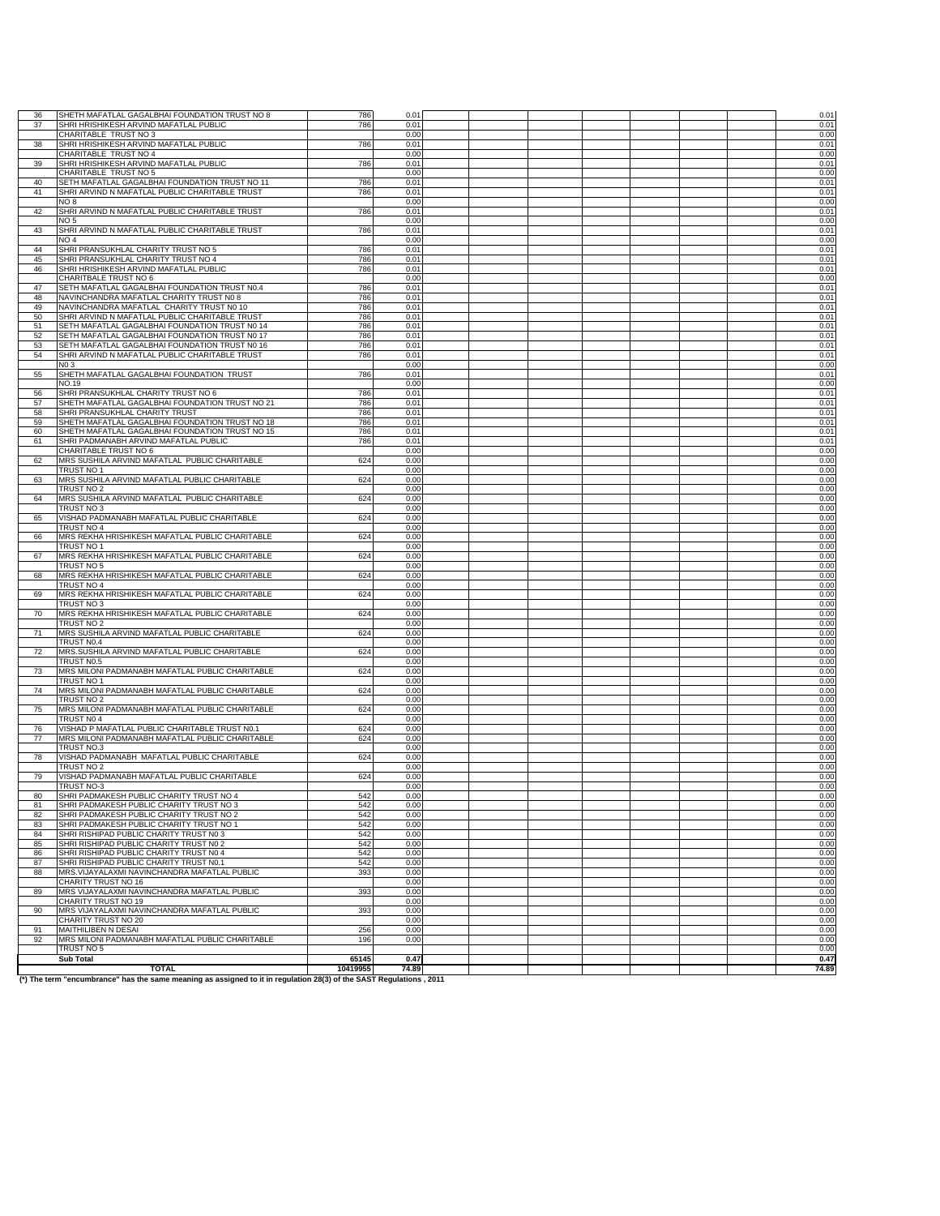| SHRI HRISHIKESH ARVIND MAFATLAL PUBLIC<br>0.01<br>37<br>786<br>CHARITABLE TRUST NO 3<br>0.00<br>38<br>SHRI HRISHIKESH ARVIND MAFATLAL PUBLIC<br>786<br>0.01<br>0.00<br>CHARITABLE TRUST NO 4<br>SHRI HRISHIKESH ARVIND MAFATLAL PUBLIC<br>39<br>786<br>0.01<br>CHARITABLE TRUST NO 5<br>0.00<br>SETH MAFATLAL GAGALBHAI FOUNDATION TRUST NO 11<br>0.01<br>40<br>786<br>41<br>SHRI ARVIND N MAFATLAL PUBLIC CHARITABLE TRUST<br>786<br>0.01<br>8 OV<br>0.00<br>SHRI ARVIND N MAFATLAL PUBLIC CHARITABLE TRUST<br>0.01<br>42<br>786<br>NO <sub>5</sub><br>0.00<br>SHRI ARVIND N MAFATLAL PUBLIC CHARITABLE TRUST<br>43<br>786<br>0.01<br>NO <sub>4</sub><br>0.00<br>SHRI PRANSUKHLAL CHARITY TRUST NO 5<br>44<br>786<br>0.01<br>45<br>SHRI PRANSUKHLAL CHARITY TRUST NO 4<br>786<br>0.01<br>SHRI HRISHIKESH ARVIND MAFATLAL PUBLIC<br>0.01<br>46<br>786<br>0.00<br>CHARITBALE TRUST NO 6<br>SETH MAFATLAL GAGALBHAI FOUNDATION TRUST N0.4<br>47<br>786<br>0.01<br>NAVINCHANDRA MAFATLAL CHARITY TRUST N0 8<br>48<br>786<br>0.01<br>NAVINCHANDRA MAFATLAL CHARITY TRUST N0 10<br>49<br>786<br>0.01<br>50<br>SHRI ARVIND N MAFATLAL PUBLIC CHARITABLE TRUST<br>786<br>0.01<br>SETH MAFATLAL GAGALBHAI FOUNDATION TRUST N0 14<br>0.01<br>51<br>786<br>SETH MAFATLAL GAGALBHAI FOUNDATION TRUST N0 17<br>52<br>786<br>0.01<br>SETH MAFATLAL GAGALBHAI FOUNDATION TRUST N0 16<br>53<br>786<br>0.01<br>54<br>SHRI ARVIND N MAFATLAL PUBLIC CHARITABLE TRUST<br>786<br>0.01<br>N <sub>0</sub> 3<br>0.00<br>55<br>SHETH MAFATLAL GAGALBHAI FOUNDATION TRUST<br>786<br>0.01<br>NO.19<br>0.00<br>SHRI PRANSUKHLAL CHARITY TRUST NO 6<br>786<br>56<br>0.01<br>SHETH MAFATLAL GAGALBHAI FOUNDATION TRUST NO 21<br>57<br>786<br>0.01<br>58<br>SHRI PRANSUKHLAL CHARITY TRUST<br>786<br>0.01<br>SHETH MAFATLAL GAGALBHAI FOUNDATION TRUST NO 18<br>59<br>786<br>0.01<br>60<br>SHETH MAFATLAL GAGALBHAI FOUNDATION TRUST NO 15<br>786<br>0.01<br>SHRI PADMANABH ARVIND MAFATLAL PUBLIC<br>786<br>0.01<br>61<br>CHARITABLE TRUST NO 6<br>0.00<br>MRS SUSHILA ARVIND MAFATLAL PUBLIC CHARITABLE<br>0.00<br>62<br>624<br>TRUST NO 1<br>0.00<br>MRS SUSHILA ARVIND MAFATLAL PUBLIC CHARITABLE<br>63<br>624<br>0.00<br>TRUST NO 2<br>0.00<br>64<br>MRS SUSHILA ARVIND MAFATLAL PUBLIC CHARITABLE<br>624<br>0.00<br>0.00<br>TRUST NO 3<br>VISHAD PADMANABH MAFATLAL PUBLIC CHARITABLE<br>624<br>0.00<br>65<br>TRUST NO 4<br>0.00<br><b>MRS REKHA HRISHIKESH MAFATLAL PUBLIC CHARITABLE</b><br>66<br>624<br>0.00<br>TRUST NO 1<br>0.00<br>MRS REKHA HRISHIKESH MAFATLAL PUBLIC CHARITABLE<br>624<br>0.00<br>67<br>0.00<br>TRUST NO 5<br>MRS REKHA HRISHIKESH MAFATLAL PUBLIC CHARITABLE<br>624<br>68<br>0.00<br>TRUST NO 4<br>0.00<br>69<br>MRS REKHA HRISHIKESH MAFATLAL PUBLIC CHARITABLE<br>624<br>0.00<br>TRUST NO 3<br>0.00<br>70<br>MRS REKHA HRISHIKESH MAFATLAL PUBLIC CHARITABLE<br>624<br>0.00<br>0.00<br>TRUST NO 2<br>MRS SUSHILA ARVIND MAFATLAL PUBLIC CHARITABLE<br>624<br>0.00<br>71<br>TRUST N0.4<br>0.00<br>MRS.SUSHILA ARVIND MAFATLAL PUBLIC CHARITABLE<br>72<br>624<br>0.00<br>TRUST N0.5<br>0.00<br>MRS MILONI PADMANABH MAFATLAL PUBLIC CHARITABLE<br>73<br>624<br>0.00<br>0.00<br>TRUST NO 1<br>MRS MILONI PADMANABH MAFATLAL PUBLIC CHARITABLE<br>74<br>0.00<br>624<br>0.00<br>TRUST NO 2<br>MRS MILONI PADMANABH MAFATLAL PUBLIC CHARITABLE<br>75<br>624<br>0.00<br>TRUST NO 4<br>0.00<br>VISHAD P MAFATLAL PUBLIC CHARITABLE TRUST N0.1<br>76<br>624<br>0.00<br>77<br>MRS MILONI PADMANABH MAFATLAL PUBLIC CHARITABLE<br>624<br>0.00<br>0.00<br>TRUST NO.3<br>VISHAD PADMANABH MAFATLAL PUBLIC CHARITABLE<br>78<br>624<br>0.00<br>TRUST NO 2<br>0.00<br>VISHAD PADMANABH MAFATLAL PUBLIC CHARITABLE<br>79<br>624<br>0.00<br>TRUST NO-3<br>0.00<br>80<br>SHRI PADMAKESH PUBLIC CHARITY TRUST NO 4<br>542<br>0.00<br>SHRI PADMAKESH PUBLIC CHARITY TRUST NO 3<br>542<br>0.00<br>81<br>SHRI PADMAKESH PUBLIC CHARITY TRUST NO 2<br>542<br>0.00<br>82<br>SHRI PADMAKESH PUBLIC CHARITY TRUST NO 1<br>83<br>542<br>0.00<br>SHRI RISHIPAD PUBLIC CHARITY TRUST NO 3<br>542<br>0.00<br>84<br>SHRI RISHIPAD PUBLIC CHARITY TRUST N0 2<br>542<br>0.00<br>85<br>SHRI RISHIPAD PUBLIC CHARITY TRUST N0 4<br>542<br>0.00<br>86<br>SHRI RISHIPAD PUBLIC CHARITY TRUST N0.1<br>542<br>0.00<br>87<br>MRS. VIJAYALAXMI NAVINCHANDRA MAFATLAL PUBLIC<br>393<br>0.00<br>88<br>CHARITY TRUST NO 16<br>0.00<br>MRS VIJAYALAXMI NAVINCHANDRA MAFATLAL PUBLIC<br>393<br>89<br>0.00<br>CHARITY TRUST NO 19<br>0.00<br>MRS VIJAYALAXMI NAVINCHANDRA MAFATLAL PUBLIC<br>393<br>0.00<br>90<br>CHARITY TRUST NO 20<br>0.00<br>0.00<br>MAITHILIBEN N DESAI<br>256<br>91<br>MRS MILONI PADMANABH MAFATLAL PUBLIC CHARITABLE<br>0.00<br>92<br>196<br>TRUST NO 5<br><b>Sub Total</b><br>65145<br>0.47<br><b>TOTAL</b><br>74.89<br>10419955 | 36 |                                                | 786 | $0.0^{\circ}$ |  |  |  |              |
|----------------------------------------------------------------------------------------------------------------------------------------------------------------------------------------------------------------------------------------------------------------------------------------------------------------------------------------------------------------------------------------------------------------------------------------------------------------------------------------------------------------------------------------------------------------------------------------------------------------------------------------------------------------------------------------------------------------------------------------------------------------------------------------------------------------------------------------------------------------------------------------------------------------------------------------------------------------------------------------------------------------------------------------------------------------------------------------------------------------------------------------------------------------------------------------------------------------------------------------------------------------------------------------------------------------------------------------------------------------------------------------------------------------------------------------------------------------------------------------------------------------------------------------------------------------------------------------------------------------------------------------------------------------------------------------------------------------------------------------------------------------------------------------------------------------------------------------------------------------------------------------------------------------------------------------------------------------------------------------------------------------------------------------------------------------------------------------------------------------------------------------------------------------------------------------------------------------------------------------------------------------------------------------------------------------------------------------------------------------------------------------------------------------------------------------------------------------------------------------------------------------------------------------------------------------------------------------------------------------------------------------------------------------------------------------------------------------------------------------------------------------------------------------------------------------------------------------------------------------------------------------------------------------------------------------------------------------------------------------------------------------------------------------------------------------------------------------------------------------------------------------------------------------------------------------------------------------------------------------------------------------------------------------------------------------------------------------------------------------------------------------------------------------------------------------------------------------------------------------------------------------------------------------------------------------------------------------------------------------------------------------------------------------------------------------------------------------------------------------------------------------------------------------------------------------------------------------------------------------------------------------------------------------------------------------------------------------------------------------------------------------------------------------------------------------------------------------------------------------------------------------------------------------------------------------------------------------------------------------------------------------------------------------------------------------------------------------------------------------------------------------------------------------------------------------------------------------------------------------------------------------------------------------------------------------------------------------------------------------------------------------------------------------------------------------------------------------------------------------------------------------------------------------------------------------|----|------------------------------------------------|-----|---------------|--|--|--|--------------|
|                                                                                                                                                                                                                                                                                                                                                                                                                                                                                                                                                                                                                                                                                                                                                                                                                                                                                                                                                                                                                                                                                                                                                                                                                                                                                                                                                                                                                                                                                                                                                                                                                                                                                                                                                                                                                                                                                                                                                                                                                                                                                                                                                                                                                                                                                                                                                                                                                                                                                                                                                                                                                                                                                                                                                                                                                                                                                                                                                                                                                                                                                                                                                                                                                                                                                                                                                                                                                                                                                                                                                                                                                                                                                                                                                                                                                                                                                                                                                                                                                                                                                                                                                                                                                                                                                                                                                                                                                                                                                                                                                                                                                                                                                                                                                                                                                |    | SHETH MAFATLAL GAGALBHAI FOUNDATION TRUST NO 8 |     |               |  |  |  | 0.01         |
|                                                                                                                                                                                                                                                                                                                                                                                                                                                                                                                                                                                                                                                                                                                                                                                                                                                                                                                                                                                                                                                                                                                                                                                                                                                                                                                                                                                                                                                                                                                                                                                                                                                                                                                                                                                                                                                                                                                                                                                                                                                                                                                                                                                                                                                                                                                                                                                                                                                                                                                                                                                                                                                                                                                                                                                                                                                                                                                                                                                                                                                                                                                                                                                                                                                                                                                                                                                                                                                                                                                                                                                                                                                                                                                                                                                                                                                                                                                                                                                                                                                                                                                                                                                                                                                                                                                                                                                                                                                                                                                                                                                                                                                                                                                                                                                                                |    |                                                |     |               |  |  |  | 0.01         |
|                                                                                                                                                                                                                                                                                                                                                                                                                                                                                                                                                                                                                                                                                                                                                                                                                                                                                                                                                                                                                                                                                                                                                                                                                                                                                                                                                                                                                                                                                                                                                                                                                                                                                                                                                                                                                                                                                                                                                                                                                                                                                                                                                                                                                                                                                                                                                                                                                                                                                                                                                                                                                                                                                                                                                                                                                                                                                                                                                                                                                                                                                                                                                                                                                                                                                                                                                                                                                                                                                                                                                                                                                                                                                                                                                                                                                                                                                                                                                                                                                                                                                                                                                                                                                                                                                                                                                                                                                                                                                                                                                                                                                                                                                                                                                                                                                |    |                                                |     |               |  |  |  | 0.00         |
|                                                                                                                                                                                                                                                                                                                                                                                                                                                                                                                                                                                                                                                                                                                                                                                                                                                                                                                                                                                                                                                                                                                                                                                                                                                                                                                                                                                                                                                                                                                                                                                                                                                                                                                                                                                                                                                                                                                                                                                                                                                                                                                                                                                                                                                                                                                                                                                                                                                                                                                                                                                                                                                                                                                                                                                                                                                                                                                                                                                                                                                                                                                                                                                                                                                                                                                                                                                                                                                                                                                                                                                                                                                                                                                                                                                                                                                                                                                                                                                                                                                                                                                                                                                                                                                                                                                                                                                                                                                                                                                                                                                                                                                                                                                                                                                                                |    |                                                |     |               |  |  |  | 0.01         |
|                                                                                                                                                                                                                                                                                                                                                                                                                                                                                                                                                                                                                                                                                                                                                                                                                                                                                                                                                                                                                                                                                                                                                                                                                                                                                                                                                                                                                                                                                                                                                                                                                                                                                                                                                                                                                                                                                                                                                                                                                                                                                                                                                                                                                                                                                                                                                                                                                                                                                                                                                                                                                                                                                                                                                                                                                                                                                                                                                                                                                                                                                                                                                                                                                                                                                                                                                                                                                                                                                                                                                                                                                                                                                                                                                                                                                                                                                                                                                                                                                                                                                                                                                                                                                                                                                                                                                                                                                                                                                                                                                                                                                                                                                                                                                                                                                |    |                                                |     |               |  |  |  | 0.00         |
|                                                                                                                                                                                                                                                                                                                                                                                                                                                                                                                                                                                                                                                                                                                                                                                                                                                                                                                                                                                                                                                                                                                                                                                                                                                                                                                                                                                                                                                                                                                                                                                                                                                                                                                                                                                                                                                                                                                                                                                                                                                                                                                                                                                                                                                                                                                                                                                                                                                                                                                                                                                                                                                                                                                                                                                                                                                                                                                                                                                                                                                                                                                                                                                                                                                                                                                                                                                                                                                                                                                                                                                                                                                                                                                                                                                                                                                                                                                                                                                                                                                                                                                                                                                                                                                                                                                                                                                                                                                                                                                                                                                                                                                                                                                                                                                                                |    |                                                |     |               |  |  |  | 0.01         |
|                                                                                                                                                                                                                                                                                                                                                                                                                                                                                                                                                                                                                                                                                                                                                                                                                                                                                                                                                                                                                                                                                                                                                                                                                                                                                                                                                                                                                                                                                                                                                                                                                                                                                                                                                                                                                                                                                                                                                                                                                                                                                                                                                                                                                                                                                                                                                                                                                                                                                                                                                                                                                                                                                                                                                                                                                                                                                                                                                                                                                                                                                                                                                                                                                                                                                                                                                                                                                                                                                                                                                                                                                                                                                                                                                                                                                                                                                                                                                                                                                                                                                                                                                                                                                                                                                                                                                                                                                                                                                                                                                                                                                                                                                                                                                                                                                |    |                                                |     |               |  |  |  | 0.00<br>0.01 |
|                                                                                                                                                                                                                                                                                                                                                                                                                                                                                                                                                                                                                                                                                                                                                                                                                                                                                                                                                                                                                                                                                                                                                                                                                                                                                                                                                                                                                                                                                                                                                                                                                                                                                                                                                                                                                                                                                                                                                                                                                                                                                                                                                                                                                                                                                                                                                                                                                                                                                                                                                                                                                                                                                                                                                                                                                                                                                                                                                                                                                                                                                                                                                                                                                                                                                                                                                                                                                                                                                                                                                                                                                                                                                                                                                                                                                                                                                                                                                                                                                                                                                                                                                                                                                                                                                                                                                                                                                                                                                                                                                                                                                                                                                                                                                                                                                |    |                                                |     |               |  |  |  |              |
|                                                                                                                                                                                                                                                                                                                                                                                                                                                                                                                                                                                                                                                                                                                                                                                                                                                                                                                                                                                                                                                                                                                                                                                                                                                                                                                                                                                                                                                                                                                                                                                                                                                                                                                                                                                                                                                                                                                                                                                                                                                                                                                                                                                                                                                                                                                                                                                                                                                                                                                                                                                                                                                                                                                                                                                                                                                                                                                                                                                                                                                                                                                                                                                                                                                                                                                                                                                                                                                                                                                                                                                                                                                                                                                                                                                                                                                                                                                                                                                                                                                                                                                                                                                                                                                                                                                                                                                                                                                                                                                                                                                                                                                                                                                                                                                                                |    |                                                |     |               |  |  |  | 0.01         |
|                                                                                                                                                                                                                                                                                                                                                                                                                                                                                                                                                                                                                                                                                                                                                                                                                                                                                                                                                                                                                                                                                                                                                                                                                                                                                                                                                                                                                                                                                                                                                                                                                                                                                                                                                                                                                                                                                                                                                                                                                                                                                                                                                                                                                                                                                                                                                                                                                                                                                                                                                                                                                                                                                                                                                                                                                                                                                                                                                                                                                                                                                                                                                                                                                                                                                                                                                                                                                                                                                                                                                                                                                                                                                                                                                                                                                                                                                                                                                                                                                                                                                                                                                                                                                                                                                                                                                                                                                                                                                                                                                                                                                                                                                                                                                                                                                |    |                                                |     |               |  |  |  | 0.00         |
|                                                                                                                                                                                                                                                                                                                                                                                                                                                                                                                                                                                                                                                                                                                                                                                                                                                                                                                                                                                                                                                                                                                                                                                                                                                                                                                                                                                                                                                                                                                                                                                                                                                                                                                                                                                                                                                                                                                                                                                                                                                                                                                                                                                                                                                                                                                                                                                                                                                                                                                                                                                                                                                                                                                                                                                                                                                                                                                                                                                                                                                                                                                                                                                                                                                                                                                                                                                                                                                                                                                                                                                                                                                                                                                                                                                                                                                                                                                                                                                                                                                                                                                                                                                                                                                                                                                                                                                                                                                                                                                                                                                                                                                                                                                                                                                                                |    |                                                |     |               |  |  |  | 0.01         |
|                                                                                                                                                                                                                                                                                                                                                                                                                                                                                                                                                                                                                                                                                                                                                                                                                                                                                                                                                                                                                                                                                                                                                                                                                                                                                                                                                                                                                                                                                                                                                                                                                                                                                                                                                                                                                                                                                                                                                                                                                                                                                                                                                                                                                                                                                                                                                                                                                                                                                                                                                                                                                                                                                                                                                                                                                                                                                                                                                                                                                                                                                                                                                                                                                                                                                                                                                                                                                                                                                                                                                                                                                                                                                                                                                                                                                                                                                                                                                                                                                                                                                                                                                                                                                                                                                                                                                                                                                                                                                                                                                                                                                                                                                                                                                                                                                |    |                                                |     |               |  |  |  | 0.00         |
|                                                                                                                                                                                                                                                                                                                                                                                                                                                                                                                                                                                                                                                                                                                                                                                                                                                                                                                                                                                                                                                                                                                                                                                                                                                                                                                                                                                                                                                                                                                                                                                                                                                                                                                                                                                                                                                                                                                                                                                                                                                                                                                                                                                                                                                                                                                                                                                                                                                                                                                                                                                                                                                                                                                                                                                                                                                                                                                                                                                                                                                                                                                                                                                                                                                                                                                                                                                                                                                                                                                                                                                                                                                                                                                                                                                                                                                                                                                                                                                                                                                                                                                                                                                                                                                                                                                                                                                                                                                                                                                                                                                                                                                                                                                                                                                                                |    |                                                |     |               |  |  |  | 0.01         |
|                                                                                                                                                                                                                                                                                                                                                                                                                                                                                                                                                                                                                                                                                                                                                                                                                                                                                                                                                                                                                                                                                                                                                                                                                                                                                                                                                                                                                                                                                                                                                                                                                                                                                                                                                                                                                                                                                                                                                                                                                                                                                                                                                                                                                                                                                                                                                                                                                                                                                                                                                                                                                                                                                                                                                                                                                                                                                                                                                                                                                                                                                                                                                                                                                                                                                                                                                                                                                                                                                                                                                                                                                                                                                                                                                                                                                                                                                                                                                                                                                                                                                                                                                                                                                                                                                                                                                                                                                                                                                                                                                                                                                                                                                                                                                                                                                |    |                                                |     |               |  |  |  | 0.00         |
|                                                                                                                                                                                                                                                                                                                                                                                                                                                                                                                                                                                                                                                                                                                                                                                                                                                                                                                                                                                                                                                                                                                                                                                                                                                                                                                                                                                                                                                                                                                                                                                                                                                                                                                                                                                                                                                                                                                                                                                                                                                                                                                                                                                                                                                                                                                                                                                                                                                                                                                                                                                                                                                                                                                                                                                                                                                                                                                                                                                                                                                                                                                                                                                                                                                                                                                                                                                                                                                                                                                                                                                                                                                                                                                                                                                                                                                                                                                                                                                                                                                                                                                                                                                                                                                                                                                                                                                                                                                                                                                                                                                                                                                                                                                                                                                                                |    |                                                |     |               |  |  |  | 0.01         |
|                                                                                                                                                                                                                                                                                                                                                                                                                                                                                                                                                                                                                                                                                                                                                                                                                                                                                                                                                                                                                                                                                                                                                                                                                                                                                                                                                                                                                                                                                                                                                                                                                                                                                                                                                                                                                                                                                                                                                                                                                                                                                                                                                                                                                                                                                                                                                                                                                                                                                                                                                                                                                                                                                                                                                                                                                                                                                                                                                                                                                                                                                                                                                                                                                                                                                                                                                                                                                                                                                                                                                                                                                                                                                                                                                                                                                                                                                                                                                                                                                                                                                                                                                                                                                                                                                                                                                                                                                                                                                                                                                                                                                                                                                                                                                                                                                |    |                                                |     |               |  |  |  | 0.01         |
|                                                                                                                                                                                                                                                                                                                                                                                                                                                                                                                                                                                                                                                                                                                                                                                                                                                                                                                                                                                                                                                                                                                                                                                                                                                                                                                                                                                                                                                                                                                                                                                                                                                                                                                                                                                                                                                                                                                                                                                                                                                                                                                                                                                                                                                                                                                                                                                                                                                                                                                                                                                                                                                                                                                                                                                                                                                                                                                                                                                                                                                                                                                                                                                                                                                                                                                                                                                                                                                                                                                                                                                                                                                                                                                                                                                                                                                                                                                                                                                                                                                                                                                                                                                                                                                                                                                                                                                                                                                                                                                                                                                                                                                                                                                                                                                                                |    |                                                |     |               |  |  |  | 0.01         |
|                                                                                                                                                                                                                                                                                                                                                                                                                                                                                                                                                                                                                                                                                                                                                                                                                                                                                                                                                                                                                                                                                                                                                                                                                                                                                                                                                                                                                                                                                                                                                                                                                                                                                                                                                                                                                                                                                                                                                                                                                                                                                                                                                                                                                                                                                                                                                                                                                                                                                                                                                                                                                                                                                                                                                                                                                                                                                                                                                                                                                                                                                                                                                                                                                                                                                                                                                                                                                                                                                                                                                                                                                                                                                                                                                                                                                                                                                                                                                                                                                                                                                                                                                                                                                                                                                                                                                                                                                                                                                                                                                                                                                                                                                                                                                                                                                |    |                                                |     |               |  |  |  | 0.00         |
|                                                                                                                                                                                                                                                                                                                                                                                                                                                                                                                                                                                                                                                                                                                                                                                                                                                                                                                                                                                                                                                                                                                                                                                                                                                                                                                                                                                                                                                                                                                                                                                                                                                                                                                                                                                                                                                                                                                                                                                                                                                                                                                                                                                                                                                                                                                                                                                                                                                                                                                                                                                                                                                                                                                                                                                                                                                                                                                                                                                                                                                                                                                                                                                                                                                                                                                                                                                                                                                                                                                                                                                                                                                                                                                                                                                                                                                                                                                                                                                                                                                                                                                                                                                                                                                                                                                                                                                                                                                                                                                                                                                                                                                                                                                                                                                                                |    |                                                |     |               |  |  |  | 0.01         |
|                                                                                                                                                                                                                                                                                                                                                                                                                                                                                                                                                                                                                                                                                                                                                                                                                                                                                                                                                                                                                                                                                                                                                                                                                                                                                                                                                                                                                                                                                                                                                                                                                                                                                                                                                                                                                                                                                                                                                                                                                                                                                                                                                                                                                                                                                                                                                                                                                                                                                                                                                                                                                                                                                                                                                                                                                                                                                                                                                                                                                                                                                                                                                                                                                                                                                                                                                                                                                                                                                                                                                                                                                                                                                                                                                                                                                                                                                                                                                                                                                                                                                                                                                                                                                                                                                                                                                                                                                                                                                                                                                                                                                                                                                                                                                                                                                |    |                                                |     |               |  |  |  | 0.01         |
|                                                                                                                                                                                                                                                                                                                                                                                                                                                                                                                                                                                                                                                                                                                                                                                                                                                                                                                                                                                                                                                                                                                                                                                                                                                                                                                                                                                                                                                                                                                                                                                                                                                                                                                                                                                                                                                                                                                                                                                                                                                                                                                                                                                                                                                                                                                                                                                                                                                                                                                                                                                                                                                                                                                                                                                                                                                                                                                                                                                                                                                                                                                                                                                                                                                                                                                                                                                                                                                                                                                                                                                                                                                                                                                                                                                                                                                                                                                                                                                                                                                                                                                                                                                                                                                                                                                                                                                                                                                                                                                                                                                                                                                                                                                                                                                                                |    |                                                |     |               |  |  |  | 0.01         |
|                                                                                                                                                                                                                                                                                                                                                                                                                                                                                                                                                                                                                                                                                                                                                                                                                                                                                                                                                                                                                                                                                                                                                                                                                                                                                                                                                                                                                                                                                                                                                                                                                                                                                                                                                                                                                                                                                                                                                                                                                                                                                                                                                                                                                                                                                                                                                                                                                                                                                                                                                                                                                                                                                                                                                                                                                                                                                                                                                                                                                                                                                                                                                                                                                                                                                                                                                                                                                                                                                                                                                                                                                                                                                                                                                                                                                                                                                                                                                                                                                                                                                                                                                                                                                                                                                                                                                                                                                                                                                                                                                                                                                                                                                                                                                                                                                |    |                                                |     |               |  |  |  | 0.01         |
|                                                                                                                                                                                                                                                                                                                                                                                                                                                                                                                                                                                                                                                                                                                                                                                                                                                                                                                                                                                                                                                                                                                                                                                                                                                                                                                                                                                                                                                                                                                                                                                                                                                                                                                                                                                                                                                                                                                                                                                                                                                                                                                                                                                                                                                                                                                                                                                                                                                                                                                                                                                                                                                                                                                                                                                                                                                                                                                                                                                                                                                                                                                                                                                                                                                                                                                                                                                                                                                                                                                                                                                                                                                                                                                                                                                                                                                                                                                                                                                                                                                                                                                                                                                                                                                                                                                                                                                                                                                                                                                                                                                                                                                                                                                                                                                                                |    |                                                |     |               |  |  |  | 0.01         |
|                                                                                                                                                                                                                                                                                                                                                                                                                                                                                                                                                                                                                                                                                                                                                                                                                                                                                                                                                                                                                                                                                                                                                                                                                                                                                                                                                                                                                                                                                                                                                                                                                                                                                                                                                                                                                                                                                                                                                                                                                                                                                                                                                                                                                                                                                                                                                                                                                                                                                                                                                                                                                                                                                                                                                                                                                                                                                                                                                                                                                                                                                                                                                                                                                                                                                                                                                                                                                                                                                                                                                                                                                                                                                                                                                                                                                                                                                                                                                                                                                                                                                                                                                                                                                                                                                                                                                                                                                                                                                                                                                                                                                                                                                                                                                                                                                |    |                                                |     |               |  |  |  | 0.01         |
|                                                                                                                                                                                                                                                                                                                                                                                                                                                                                                                                                                                                                                                                                                                                                                                                                                                                                                                                                                                                                                                                                                                                                                                                                                                                                                                                                                                                                                                                                                                                                                                                                                                                                                                                                                                                                                                                                                                                                                                                                                                                                                                                                                                                                                                                                                                                                                                                                                                                                                                                                                                                                                                                                                                                                                                                                                                                                                                                                                                                                                                                                                                                                                                                                                                                                                                                                                                                                                                                                                                                                                                                                                                                                                                                                                                                                                                                                                                                                                                                                                                                                                                                                                                                                                                                                                                                                                                                                                                                                                                                                                                                                                                                                                                                                                                                                |    |                                                |     |               |  |  |  | 0.01         |
|                                                                                                                                                                                                                                                                                                                                                                                                                                                                                                                                                                                                                                                                                                                                                                                                                                                                                                                                                                                                                                                                                                                                                                                                                                                                                                                                                                                                                                                                                                                                                                                                                                                                                                                                                                                                                                                                                                                                                                                                                                                                                                                                                                                                                                                                                                                                                                                                                                                                                                                                                                                                                                                                                                                                                                                                                                                                                                                                                                                                                                                                                                                                                                                                                                                                                                                                                                                                                                                                                                                                                                                                                                                                                                                                                                                                                                                                                                                                                                                                                                                                                                                                                                                                                                                                                                                                                                                                                                                                                                                                                                                                                                                                                                                                                                                                                |    |                                                |     |               |  |  |  | 0.01         |
|                                                                                                                                                                                                                                                                                                                                                                                                                                                                                                                                                                                                                                                                                                                                                                                                                                                                                                                                                                                                                                                                                                                                                                                                                                                                                                                                                                                                                                                                                                                                                                                                                                                                                                                                                                                                                                                                                                                                                                                                                                                                                                                                                                                                                                                                                                                                                                                                                                                                                                                                                                                                                                                                                                                                                                                                                                                                                                                                                                                                                                                                                                                                                                                                                                                                                                                                                                                                                                                                                                                                                                                                                                                                                                                                                                                                                                                                                                                                                                                                                                                                                                                                                                                                                                                                                                                                                                                                                                                                                                                                                                                                                                                                                                                                                                                                                |    |                                                |     |               |  |  |  | 0.00         |
|                                                                                                                                                                                                                                                                                                                                                                                                                                                                                                                                                                                                                                                                                                                                                                                                                                                                                                                                                                                                                                                                                                                                                                                                                                                                                                                                                                                                                                                                                                                                                                                                                                                                                                                                                                                                                                                                                                                                                                                                                                                                                                                                                                                                                                                                                                                                                                                                                                                                                                                                                                                                                                                                                                                                                                                                                                                                                                                                                                                                                                                                                                                                                                                                                                                                                                                                                                                                                                                                                                                                                                                                                                                                                                                                                                                                                                                                                                                                                                                                                                                                                                                                                                                                                                                                                                                                                                                                                                                                                                                                                                                                                                                                                                                                                                                                                |    |                                                |     |               |  |  |  | 0.01         |
|                                                                                                                                                                                                                                                                                                                                                                                                                                                                                                                                                                                                                                                                                                                                                                                                                                                                                                                                                                                                                                                                                                                                                                                                                                                                                                                                                                                                                                                                                                                                                                                                                                                                                                                                                                                                                                                                                                                                                                                                                                                                                                                                                                                                                                                                                                                                                                                                                                                                                                                                                                                                                                                                                                                                                                                                                                                                                                                                                                                                                                                                                                                                                                                                                                                                                                                                                                                                                                                                                                                                                                                                                                                                                                                                                                                                                                                                                                                                                                                                                                                                                                                                                                                                                                                                                                                                                                                                                                                                                                                                                                                                                                                                                                                                                                                                                |    |                                                |     |               |  |  |  | 0.00         |
|                                                                                                                                                                                                                                                                                                                                                                                                                                                                                                                                                                                                                                                                                                                                                                                                                                                                                                                                                                                                                                                                                                                                                                                                                                                                                                                                                                                                                                                                                                                                                                                                                                                                                                                                                                                                                                                                                                                                                                                                                                                                                                                                                                                                                                                                                                                                                                                                                                                                                                                                                                                                                                                                                                                                                                                                                                                                                                                                                                                                                                                                                                                                                                                                                                                                                                                                                                                                                                                                                                                                                                                                                                                                                                                                                                                                                                                                                                                                                                                                                                                                                                                                                                                                                                                                                                                                                                                                                                                                                                                                                                                                                                                                                                                                                                                                                |    |                                                |     |               |  |  |  | 0.01         |
|                                                                                                                                                                                                                                                                                                                                                                                                                                                                                                                                                                                                                                                                                                                                                                                                                                                                                                                                                                                                                                                                                                                                                                                                                                                                                                                                                                                                                                                                                                                                                                                                                                                                                                                                                                                                                                                                                                                                                                                                                                                                                                                                                                                                                                                                                                                                                                                                                                                                                                                                                                                                                                                                                                                                                                                                                                                                                                                                                                                                                                                                                                                                                                                                                                                                                                                                                                                                                                                                                                                                                                                                                                                                                                                                                                                                                                                                                                                                                                                                                                                                                                                                                                                                                                                                                                                                                                                                                                                                                                                                                                                                                                                                                                                                                                                                                |    |                                                |     |               |  |  |  | 0.01         |
|                                                                                                                                                                                                                                                                                                                                                                                                                                                                                                                                                                                                                                                                                                                                                                                                                                                                                                                                                                                                                                                                                                                                                                                                                                                                                                                                                                                                                                                                                                                                                                                                                                                                                                                                                                                                                                                                                                                                                                                                                                                                                                                                                                                                                                                                                                                                                                                                                                                                                                                                                                                                                                                                                                                                                                                                                                                                                                                                                                                                                                                                                                                                                                                                                                                                                                                                                                                                                                                                                                                                                                                                                                                                                                                                                                                                                                                                                                                                                                                                                                                                                                                                                                                                                                                                                                                                                                                                                                                                                                                                                                                                                                                                                                                                                                                                                |    |                                                |     |               |  |  |  | 0.01         |
|                                                                                                                                                                                                                                                                                                                                                                                                                                                                                                                                                                                                                                                                                                                                                                                                                                                                                                                                                                                                                                                                                                                                                                                                                                                                                                                                                                                                                                                                                                                                                                                                                                                                                                                                                                                                                                                                                                                                                                                                                                                                                                                                                                                                                                                                                                                                                                                                                                                                                                                                                                                                                                                                                                                                                                                                                                                                                                                                                                                                                                                                                                                                                                                                                                                                                                                                                                                                                                                                                                                                                                                                                                                                                                                                                                                                                                                                                                                                                                                                                                                                                                                                                                                                                                                                                                                                                                                                                                                                                                                                                                                                                                                                                                                                                                                                                |    |                                                |     |               |  |  |  | 0.01         |
|                                                                                                                                                                                                                                                                                                                                                                                                                                                                                                                                                                                                                                                                                                                                                                                                                                                                                                                                                                                                                                                                                                                                                                                                                                                                                                                                                                                                                                                                                                                                                                                                                                                                                                                                                                                                                                                                                                                                                                                                                                                                                                                                                                                                                                                                                                                                                                                                                                                                                                                                                                                                                                                                                                                                                                                                                                                                                                                                                                                                                                                                                                                                                                                                                                                                                                                                                                                                                                                                                                                                                                                                                                                                                                                                                                                                                                                                                                                                                                                                                                                                                                                                                                                                                                                                                                                                                                                                                                                                                                                                                                                                                                                                                                                                                                                                                |    |                                                |     |               |  |  |  | 0.01         |
|                                                                                                                                                                                                                                                                                                                                                                                                                                                                                                                                                                                                                                                                                                                                                                                                                                                                                                                                                                                                                                                                                                                                                                                                                                                                                                                                                                                                                                                                                                                                                                                                                                                                                                                                                                                                                                                                                                                                                                                                                                                                                                                                                                                                                                                                                                                                                                                                                                                                                                                                                                                                                                                                                                                                                                                                                                                                                                                                                                                                                                                                                                                                                                                                                                                                                                                                                                                                                                                                                                                                                                                                                                                                                                                                                                                                                                                                                                                                                                                                                                                                                                                                                                                                                                                                                                                                                                                                                                                                                                                                                                                                                                                                                                                                                                                                                |    |                                                |     |               |  |  |  | 0.01         |
|                                                                                                                                                                                                                                                                                                                                                                                                                                                                                                                                                                                                                                                                                                                                                                                                                                                                                                                                                                                                                                                                                                                                                                                                                                                                                                                                                                                                                                                                                                                                                                                                                                                                                                                                                                                                                                                                                                                                                                                                                                                                                                                                                                                                                                                                                                                                                                                                                                                                                                                                                                                                                                                                                                                                                                                                                                                                                                                                                                                                                                                                                                                                                                                                                                                                                                                                                                                                                                                                                                                                                                                                                                                                                                                                                                                                                                                                                                                                                                                                                                                                                                                                                                                                                                                                                                                                                                                                                                                                                                                                                                                                                                                                                                                                                                                                                |    |                                                |     |               |  |  |  | 0.00         |
|                                                                                                                                                                                                                                                                                                                                                                                                                                                                                                                                                                                                                                                                                                                                                                                                                                                                                                                                                                                                                                                                                                                                                                                                                                                                                                                                                                                                                                                                                                                                                                                                                                                                                                                                                                                                                                                                                                                                                                                                                                                                                                                                                                                                                                                                                                                                                                                                                                                                                                                                                                                                                                                                                                                                                                                                                                                                                                                                                                                                                                                                                                                                                                                                                                                                                                                                                                                                                                                                                                                                                                                                                                                                                                                                                                                                                                                                                                                                                                                                                                                                                                                                                                                                                                                                                                                                                                                                                                                                                                                                                                                                                                                                                                                                                                                                                |    |                                                |     |               |  |  |  | 0.00         |
|                                                                                                                                                                                                                                                                                                                                                                                                                                                                                                                                                                                                                                                                                                                                                                                                                                                                                                                                                                                                                                                                                                                                                                                                                                                                                                                                                                                                                                                                                                                                                                                                                                                                                                                                                                                                                                                                                                                                                                                                                                                                                                                                                                                                                                                                                                                                                                                                                                                                                                                                                                                                                                                                                                                                                                                                                                                                                                                                                                                                                                                                                                                                                                                                                                                                                                                                                                                                                                                                                                                                                                                                                                                                                                                                                                                                                                                                                                                                                                                                                                                                                                                                                                                                                                                                                                                                                                                                                                                                                                                                                                                                                                                                                                                                                                                                                |    |                                                |     |               |  |  |  | 0.00         |
|                                                                                                                                                                                                                                                                                                                                                                                                                                                                                                                                                                                                                                                                                                                                                                                                                                                                                                                                                                                                                                                                                                                                                                                                                                                                                                                                                                                                                                                                                                                                                                                                                                                                                                                                                                                                                                                                                                                                                                                                                                                                                                                                                                                                                                                                                                                                                                                                                                                                                                                                                                                                                                                                                                                                                                                                                                                                                                                                                                                                                                                                                                                                                                                                                                                                                                                                                                                                                                                                                                                                                                                                                                                                                                                                                                                                                                                                                                                                                                                                                                                                                                                                                                                                                                                                                                                                                                                                                                                                                                                                                                                                                                                                                                                                                                                                                |    |                                                |     |               |  |  |  | 0.00         |
|                                                                                                                                                                                                                                                                                                                                                                                                                                                                                                                                                                                                                                                                                                                                                                                                                                                                                                                                                                                                                                                                                                                                                                                                                                                                                                                                                                                                                                                                                                                                                                                                                                                                                                                                                                                                                                                                                                                                                                                                                                                                                                                                                                                                                                                                                                                                                                                                                                                                                                                                                                                                                                                                                                                                                                                                                                                                                                                                                                                                                                                                                                                                                                                                                                                                                                                                                                                                                                                                                                                                                                                                                                                                                                                                                                                                                                                                                                                                                                                                                                                                                                                                                                                                                                                                                                                                                                                                                                                                                                                                                                                                                                                                                                                                                                                                                |    |                                                |     |               |  |  |  | 0.00         |
|                                                                                                                                                                                                                                                                                                                                                                                                                                                                                                                                                                                                                                                                                                                                                                                                                                                                                                                                                                                                                                                                                                                                                                                                                                                                                                                                                                                                                                                                                                                                                                                                                                                                                                                                                                                                                                                                                                                                                                                                                                                                                                                                                                                                                                                                                                                                                                                                                                                                                                                                                                                                                                                                                                                                                                                                                                                                                                                                                                                                                                                                                                                                                                                                                                                                                                                                                                                                                                                                                                                                                                                                                                                                                                                                                                                                                                                                                                                                                                                                                                                                                                                                                                                                                                                                                                                                                                                                                                                                                                                                                                                                                                                                                                                                                                                                                |    |                                                |     |               |  |  |  | 0.00         |
|                                                                                                                                                                                                                                                                                                                                                                                                                                                                                                                                                                                                                                                                                                                                                                                                                                                                                                                                                                                                                                                                                                                                                                                                                                                                                                                                                                                                                                                                                                                                                                                                                                                                                                                                                                                                                                                                                                                                                                                                                                                                                                                                                                                                                                                                                                                                                                                                                                                                                                                                                                                                                                                                                                                                                                                                                                                                                                                                                                                                                                                                                                                                                                                                                                                                                                                                                                                                                                                                                                                                                                                                                                                                                                                                                                                                                                                                                                                                                                                                                                                                                                                                                                                                                                                                                                                                                                                                                                                                                                                                                                                                                                                                                                                                                                                                                |    |                                                |     |               |  |  |  | 0.00         |
|                                                                                                                                                                                                                                                                                                                                                                                                                                                                                                                                                                                                                                                                                                                                                                                                                                                                                                                                                                                                                                                                                                                                                                                                                                                                                                                                                                                                                                                                                                                                                                                                                                                                                                                                                                                                                                                                                                                                                                                                                                                                                                                                                                                                                                                                                                                                                                                                                                                                                                                                                                                                                                                                                                                                                                                                                                                                                                                                                                                                                                                                                                                                                                                                                                                                                                                                                                                                                                                                                                                                                                                                                                                                                                                                                                                                                                                                                                                                                                                                                                                                                                                                                                                                                                                                                                                                                                                                                                                                                                                                                                                                                                                                                                                                                                                                                |    |                                                |     |               |  |  |  | 0.00         |
|                                                                                                                                                                                                                                                                                                                                                                                                                                                                                                                                                                                                                                                                                                                                                                                                                                                                                                                                                                                                                                                                                                                                                                                                                                                                                                                                                                                                                                                                                                                                                                                                                                                                                                                                                                                                                                                                                                                                                                                                                                                                                                                                                                                                                                                                                                                                                                                                                                                                                                                                                                                                                                                                                                                                                                                                                                                                                                                                                                                                                                                                                                                                                                                                                                                                                                                                                                                                                                                                                                                                                                                                                                                                                                                                                                                                                                                                                                                                                                                                                                                                                                                                                                                                                                                                                                                                                                                                                                                                                                                                                                                                                                                                                                                                                                                                                |    |                                                |     |               |  |  |  | 0.00         |
|                                                                                                                                                                                                                                                                                                                                                                                                                                                                                                                                                                                                                                                                                                                                                                                                                                                                                                                                                                                                                                                                                                                                                                                                                                                                                                                                                                                                                                                                                                                                                                                                                                                                                                                                                                                                                                                                                                                                                                                                                                                                                                                                                                                                                                                                                                                                                                                                                                                                                                                                                                                                                                                                                                                                                                                                                                                                                                                                                                                                                                                                                                                                                                                                                                                                                                                                                                                                                                                                                                                                                                                                                                                                                                                                                                                                                                                                                                                                                                                                                                                                                                                                                                                                                                                                                                                                                                                                                                                                                                                                                                                                                                                                                                                                                                                                                |    |                                                |     |               |  |  |  | 0.00         |
|                                                                                                                                                                                                                                                                                                                                                                                                                                                                                                                                                                                                                                                                                                                                                                                                                                                                                                                                                                                                                                                                                                                                                                                                                                                                                                                                                                                                                                                                                                                                                                                                                                                                                                                                                                                                                                                                                                                                                                                                                                                                                                                                                                                                                                                                                                                                                                                                                                                                                                                                                                                                                                                                                                                                                                                                                                                                                                                                                                                                                                                                                                                                                                                                                                                                                                                                                                                                                                                                                                                                                                                                                                                                                                                                                                                                                                                                                                                                                                                                                                                                                                                                                                                                                                                                                                                                                                                                                                                                                                                                                                                                                                                                                                                                                                                                                |    |                                                |     |               |  |  |  | 0.00         |
|                                                                                                                                                                                                                                                                                                                                                                                                                                                                                                                                                                                                                                                                                                                                                                                                                                                                                                                                                                                                                                                                                                                                                                                                                                                                                                                                                                                                                                                                                                                                                                                                                                                                                                                                                                                                                                                                                                                                                                                                                                                                                                                                                                                                                                                                                                                                                                                                                                                                                                                                                                                                                                                                                                                                                                                                                                                                                                                                                                                                                                                                                                                                                                                                                                                                                                                                                                                                                                                                                                                                                                                                                                                                                                                                                                                                                                                                                                                                                                                                                                                                                                                                                                                                                                                                                                                                                                                                                                                                                                                                                                                                                                                                                                                                                                                                                |    |                                                |     |               |  |  |  | 0.00         |
|                                                                                                                                                                                                                                                                                                                                                                                                                                                                                                                                                                                                                                                                                                                                                                                                                                                                                                                                                                                                                                                                                                                                                                                                                                                                                                                                                                                                                                                                                                                                                                                                                                                                                                                                                                                                                                                                                                                                                                                                                                                                                                                                                                                                                                                                                                                                                                                                                                                                                                                                                                                                                                                                                                                                                                                                                                                                                                                                                                                                                                                                                                                                                                                                                                                                                                                                                                                                                                                                                                                                                                                                                                                                                                                                                                                                                                                                                                                                                                                                                                                                                                                                                                                                                                                                                                                                                                                                                                                                                                                                                                                                                                                                                                                                                                                                                |    |                                                |     |               |  |  |  | 0.00         |
|                                                                                                                                                                                                                                                                                                                                                                                                                                                                                                                                                                                                                                                                                                                                                                                                                                                                                                                                                                                                                                                                                                                                                                                                                                                                                                                                                                                                                                                                                                                                                                                                                                                                                                                                                                                                                                                                                                                                                                                                                                                                                                                                                                                                                                                                                                                                                                                                                                                                                                                                                                                                                                                                                                                                                                                                                                                                                                                                                                                                                                                                                                                                                                                                                                                                                                                                                                                                                                                                                                                                                                                                                                                                                                                                                                                                                                                                                                                                                                                                                                                                                                                                                                                                                                                                                                                                                                                                                                                                                                                                                                                                                                                                                                                                                                                                                |    |                                                |     |               |  |  |  | 0.00         |
|                                                                                                                                                                                                                                                                                                                                                                                                                                                                                                                                                                                                                                                                                                                                                                                                                                                                                                                                                                                                                                                                                                                                                                                                                                                                                                                                                                                                                                                                                                                                                                                                                                                                                                                                                                                                                                                                                                                                                                                                                                                                                                                                                                                                                                                                                                                                                                                                                                                                                                                                                                                                                                                                                                                                                                                                                                                                                                                                                                                                                                                                                                                                                                                                                                                                                                                                                                                                                                                                                                                                                                                                                                                                                                                                                                                                                                                                                                                                                                                                                                                                                                                                                                                                                                                                                                                                                                                                                                                                                                                                                                                                                                                                                                                                                                                                                |    |                                                |     |               |  |  |  | 0.00         |
|                                                                                                                                                                                                                                                                                                                                                                                                                                                                                                                                                                                                                                                                                                                                                                                                                                                                                                                                                                                                                                                                                                                                                                                                                                                                                                                                                                                                                                                                                                                                                                                                                                                                                                                                                                                                                                                                                                                                                                                                                                                                                                                                                                                                                                                                                                                                                                                                                                                                                                                                                                                                                                                                                                                                                                                                                                                                                                                                                                                                                                                                                                                                                                                                                                                                                                                                                                                                                                                                                                                                                                                                                                                                                                                                                                                                                                                                                                                                                                                                                                                                                                                                                                                                                                                                                                                                                                                                                                                                                                                                                                                                                                                                                                                                                                                                                |    |                                                |     |               |  |  |  | 0.00         |
|                                                                                                                                                                                                                                                                                                                                                                                                                                                                                                                                                                                                                                                                                                                                                                                                                                                                                                                                                                                                                                                                                                                                                                                                                                                                                                                                                                                                                                                                                                                                                                                                                                                                                                                                                                                                                                                                                                                                                                                                                                                                                                                                                                                                                                                                                                                                                                                                                                                                                                                                                                                                                                                                                                                                                                                                                                                                                                                                                                                                                                                                                                                                                                                                                                                                                                                                                                                                                                                                                                                                                                                                                                                                                                                                                                                                                                                                                                                                                                                                                                                                                                                                                                                                                                                                                                                                                                                                                                                                                                                                                                                                                                                                                                                                                                                                                |    |                                                |     |               |  |  |  | 0.00         |
|                                                                                                                                                                                                                                                                                                                                                                                                                                                                                                                                                                                                                                                                                                                                                                                                                                                                                                                                                                                                                                                                                                                                                                                                                                                                                                                                                                                                                                                                                                                                                                                                                                                                                                                                                                                                                                                                                                                                                                                                                                                                                                                                                                                                                                                                                                                                                                                                                                                                                                                                                                                                                                                                                                                                                                                                                                                                                                                                                                                                                                                                                                                                                                                                                                                                                                                                                                                                                                                                                                                                                                                                                                                                                                                                                                                                                                                                                                                                                                                                                                                                                                                                                                                                                                                                                                                                                                                                                                                                                                                                                                                                                                                                                                                                                                                                                |    |                                                |     |               |  |  |  | 0.00         |
|                                                                                                                                                                                                                                                                                                                                                                                                                                                                                                                                                                                                                                                                                                                                                                                                                                                                                                                                                                                                                                                                                                                                                                                                                                                                                                                                                                                                                                                                                                                                                                                                                                                                                                                                                                                                                                                                                                                                                                                                                                                                                                                                                                                                                                                                                                                                                                                                                                                                                                                                                                                                                                                                                                                                                                                                                                                                                                                                                                                                                                                                                                                                                                                                                                                                                                                                                                                                                                                                                                                                                                                                                                                                                                                                                                                                                                                                                                                                                                                                                                                                                                                                                                                                                                                                                                                                                                                                                                                                                                                                                                                                                                                                                                                                                                                                                |    |                                                |     |               |  |  |  | 0.00         |
|                                                                                                                                                                                                                                                                                                                                                                                                                                                                                                                                                                                                                                                                                                                                                                                                                                                                                                                                                                                                                                                                                                                                                                                                                                                                                                                                                                                                                                                                                                                                                                                                                                                                                                                                                                                                                                                                                                                                                                                                                                                                                                                                                                                                                                                                                                                                                                                                                                                                                                                                                                                                                                                                                                                                                                                                                                                                                                                                                                                                                                                                                                                                                                                                                                                                                                                                                                                                                                                                                                                                                                                                                                                                                                                                                                                                                                                                                                                                                                                                                                                                                                                                                                                                                                                                                                                                                                                                                                                                                                                                                                                                                                                                                                                                                                                                                |    |                                                |     |               |  |  |  | 0.00         |
|                                                                                                                                                                                                                                                                                                                                                                                                                                                                                                                                                                                                                                                                                                                                                                                                                                                                                                                                                                                                                                                                                                                                                                                                                                                                                                                                                                                                                                                                                                                                                                                                                                                                                                                                                                                                                                                                                                                                                                                                                                                                                                                                                                                                                                                                                                                                                                                                                                                                                                                                                                                                                                                                                                                                                                                                                                                                                                                                                                                                                                                                                                                                                                                                                                                                                                                                                                                                                                                                                                                                                                                                                                                                                                                                                                                                                                                                                                                                                                                                                                                                                                                                                                                                                                                                                                                                                                                                                                                                                                                                                                                                                                                                                                                                                                                                                |    |                                                |     |               |  |  |  | 0.00         |
|                                                                                                                                                                                                                                                                                                                                                                                                                                                                                                                                                                                                                                                                                                                                                                                                                                                                                                                                                                                                                                                                                                                                                                                                                                                                                                                                                                                                                                                                                                                                                                                                                                                                                                                                                                                                                                                                                                                                                                                                                                                                                                                                                                                                                                                                                                                                                                                                                                                                                                                                                                                                                                                                                                                                                                                                                                                                                                                                                                                                                                                                                                                                                                                                                                                                                                                                                                                                                                                                                                                                                                                                                                                                                                                                                                                                                                                                                                                                                                                                                                                                                                                                                                                                                                                                                                                                                                                                                                                                                                                                                                                                                                                                                                                                                                                                                |    |                                                |     |               |  |  |  | 0.00         |
|                                                                                                                                                                                                                                                                                                                                                                                                                                                                                                                                                                                                                                                                                                                                                                                                                                                                                                                                                                                                                                                                                                                                                                                                                                                                                                                                                                                                                                                                                                                                                                                                                                                                                                                                                                                                                                                                                                                                                                                                                                                                                                                                                                                                                                                                                                                                                                                                                                                                                                                                                                                                                                                                                                                                                                                                                                                                                                                                                                                                                                                                                                                                                                                                                                                                                                                                                                                                                                                                                                                                                                                                                                                                                                                                                                                                                                                                                                                                                                                                                                                                                                                                                                                                                                                                                                                                                                                                                                                                                                                                                                                                                                                                                                                                                                                                                |    |                                                |     |               |  |  |  | 0.00         |
|                                                                                                                                                                                                                                                                                                                                                                                                                                                                                                                                                                                                                                                                                                                                                                                                                                                                                                                                                                                                                                                                                                                                                                                                                                                                                                                                                                                                                                                                                                                                                                                                                                                                                                                                                                                                                                                                                                                                                                                                                                                                                                                                                                                                                                                                                                                                                                                                                                                                                                                                                                                                                                                                                                                                                                                                                                                                                                                                                                                                                                                                                                                                                                                                                                                                                                                                                                                                                                                                                                                                                                                                                                                                                                                                                                                                                                                                                                                                                                                                                                                                                                                                                                                                                                                                                                                                                                                                                                                                                                                                                                                                                                                                                                                                                                                                                |    |                                                |     |               |  |  |  | 0.00         |
|                                                                                                                                                                                                                                                                                                                                                                                                                                                                                                                                                                                                                                                                                                                                                                                                                                                                                                                                                                                                                                                                                                                                                                                                                                                                                                                                                                                                                                                                                                                                                                                                                                                                                                                                                                                                                                                                                                                                                                                                                                                                                                                                                                                                                                                                                                                                                                                                                                                                                                                                                                                                                                                                                                                                                                                                                                                                                                                                                                                                                                                                                                                                                                                                                                                                                                                                                                                                                                                                                                                                                                                                                                                                                                                                                                                                                                                                                                                                                                                                                                                                                                                                                                                                                                                                                                                                                                                                                                                                                                                                                                                                                                                                                                                                                                                                                |    |                                                |     |               |  |  |  | 0.00         |
|                                                                                                                                                                                                                                                                                                                                                                                                                                                                                                                                                                                                                                                                                                                                                                                                                                                                                                                                                                                                                                                                                                                                                                                                                                                                                                                                                                                                                                                                                                                                                                                                                                                                                                                                                                                                                                                                                                                                                                                                                                                                                                                                                                                                                                                                                                                                                                                                                                                                                                                                                                                                                                                                                                                                                                                                                                                                                                                                                                                                                                                                                                                                                                                                                                                                                                                                                                                                                                                                                                                                                                                                                                                                                                                                                                                                                                                                                                                                                                                                                                                                                                                                                                                                                                                                                                                                                                                                                                                                                                                                                                                                                                                                                                                                                                                                                |    |                                                |     |               |  |  |  | 0.00         |
|                                                                                                                                                                                                                                                                                                                                                                                                                                                                                                                                                                                                                                                                                                                                                                                                                                                                                                                                                                                                                                                                                                                                                                                                                                                                                                                                                                                                                                                                                                                                                                                                                                                                                                                                                                                                                                                                                                                                                                                                                                                                                                                                                                                                                                                                                                                                                                                                                                                                                                                                                                                                                                                                                                                                                                                                                                                                                                                                                                                                                                                                                                                                                                                                                                                                                                                                                                                                                                                                                                                                                                                                                                                                                                                                                                                                                                                                                                                                                                                                                                                                                                                                                                                                                                                                                                                                                                                                                                                                                                                                                                                                                                                                                                                                                                                                                |    |                                                |     |               |  |  |  | 0.00         |
|                                                                                                                                                                                                                                                                                                                                                                                                                                                                                                                                                                                                                                                                                                                                                                                                                                                                                                                                                                                                                                                                                                                                                                                                                                                                                                                                                                                                                                                                                                                                                                                                                                                                                                                                                                                                                                                                                                                                                                                                                                                                                                                                                                                                                                                                                                                                                                                                                                                                                                                                                                                                                                                                                                                                                                                                                                                                                                                                                                                                                                                                                                                                                                                                                                                                                                                                                                                                                                                                                                                                                                                                                                                                                                                                                                                                                                                                                                                                                                                                                                                                                                                                                                                                                                                                                                                                                                                                                                                                                                                                                                                                                                                                                                                                                                                                                |    |                                                |     |               |  |  |  | 0.00         |
|                                                                                                                                                                                                                                                                                                                                                                                                                                                                                                                                                                                                                                                                                                                                                                                                                                                                                                                                                                                                                                                                                                                                                                                                                                                                                                                                                                                                                                                                                                                                                                                                                                                                                                                                                                                                                                                                                                                                                                                                                                                                                                                                                                                                                                                                                                                                                                                                                                                                                                                                                                                                                                                                                                                                                                                                                                                                                                                                                                                                                                                                                                                                                                                                                                                                                                                                                                                                                                                                                                                                                                                                                                                                                                                                                                                                                                                                                                                                                                                                                                                                                                                                                                                                                                                                                                                                                                                                                                                                                                                                                                                                                                                                                                                                                                                                                |    |                                                |     |               |  |  |  | 0.00         |
|                                                                                                                                                                                                                                                                                                                                                                                                                                                                                                                                                                                                                                                                                                                                                                                                                                                                                                                                                                                                                                                                                                                                                                                                                                                                                                                                                                                                                                                                                                                                                                                                                                                                                                                                                                                                                                                                                                                                                                                                                                                                                                                                                                                                                                                                                                                                                                                                                                                                                                                                                                                                                                                                                                                                                                                                                                                                                                                                                                                                                                                                                                                                                                                                                                                                                                                                                                                                                                                                                                                                                                                                                                                                                                                                                                                                                                                                                                                                                                                                                                                                                                                                                                                                                                                                                                                                                                                                                                                                                                                                                                                                                                                                                                                                                                                                                |    |                                                |     |               |  |  |  | 0.00         |
|                                                                                                                                                                                                                                                                                                                                                                                                                                                                                                                                                                                                                                                                                                                                                                                                                                                                                                                                                                                                                                                                                                                                                                                                                                                                                                                                                                                                                                                                                                                                                                                                                                                                                                                                                                                                                                                                                                                                                                                                                                                                                                                                                                                                                                                                                                                                                                                                                                                                                                                                                                                                                                                                                                                                                                                                                                                                                                                                                                                                                                                                                                                                                                                                                                                                                                                                                                                                                                                                                                                                                                                                                                                                                                                                                                                                                                                                                                                                                                                                                                                                                                                                                                                                                                                                                                                                                                                                                                                                                                                                                                                                                                                                                                                                                                                                                |    |                                                |     |               |  |  |  | 0.00         |
|                                                                                                                                                                                                                                                                                                                                                                                                                                                                                                                                                                                                                                                                                                                                                                                                                                                                                                                                                                                                                                                                                                                                                                                                                                                                                                                                                                                                                                                                                                                                                                                                                                                                                                                                                                                                                                                                                                                                                                                                                                                                                                                                                                                                                                                                                                                                                                                                                                                                                                                                                                                                                                                                                                                                                                                                                                                                                                                                                                                                                                                                                                                                                                                                                                                                                                                                                                                                                                                                                                                                                                                                                                                                                                                                                                                                                                                                                                                                                                                                                                                                                                                                                                                                                                                                                                                                                                                                                                                                                                                                                                                                                                                                                                                                                                                                                |    |                                                |     |               |  |  |  | 0.00         |
|                                                                                                                                                                                                                                                                                                                                                                                                                                                                                                                                                                                                                                                                                                                                                                                                                                                                                                                                                                                                                                                                                                                                                                                                                                                                                                                                                                                                                                                                                                                                                                                                                                                                                                                                                                                                                                                                                                                                                                                                                                                                                                                                                                                                                                                                                                                                                                                                                                                                                                                                                                                                                                                                                                                                                                                                                                                                                                                                                                                                                                                                                                                                                                                                                                                                                                                                                                                                                                                                                                                                                                                                                                                                                                                                                                                                                                                                                                                                                                                                                                                                                                                                                                                                                                                                                                                                                                                                                                                                                                                                                                                                                                                                                                                                                                                                                |    |                                                |     |               |  |  |  | 0.00         |
|                                                                                                                                                                                                                                                                                                                                                                                                                                                                                                                                                                                                                                                                                                                                                                                                                                                                                                                                                                                                                                                                                                                                                                                                                                                                                                                                                                                                                                                                                                                                                                                                                                                                                                                                                                                                                                                                                                                                                                                                                                                                                                                                                                                                                                                                                                                                                                                                                                                                                                                                                                                                                                                                                                                                                                                                                                                                                                                                                                                                                                                                                                                                                                                                                                                                                                                                                                                                                                                                                                                                                                                                                                                                                                                                                                                                                                                                                                                                                                                                                                                                                                                                                                                                                                                                                                                                                                                                                                                                                                                                                                                                                                                                                                                                                                                                                |    |                                                |     |               |  |  |  | 0.00         |
|                                                                                                                                                                                                                                                                                                                                                                                                                                                                                                                                                                                                                                                                                                                                                                                                                                                                                                                                                                                                                                                                                                                                                                                                                                                                                                                                                                                                                                                                                                                                                                                                                                                                                                                                                                                                                                                                                                                                                                                                                                                                                                                                                                                                                                                                                                                                                                                                                                                                                                                                                                                                                                                                                                                                                                                                                                                                                                                                                                                                                                                                                                                                                                                                                                                                                                                                                                                                                                                                                                                                                                                                                                                                                                                                                                                                                                                                                                                                                                                                                                                                                                                                                                                                                                                                                                                                                                                                                                                                                                                                                                                                                                                                                                                                                                                                                |    |                                                |     |               |  |  |  | 0.00         |
|                                                                                                                                                                                                                                                                                                                                                                                                                                                                                                                                                                                                                                                                                                                                                                                                                                                                                                                                                                                                                                                                                                                                                                                                                                                                                                                                                                                                                                                                                                                                                                                                                                                                                                                                                                                                                                                                                                                                                                                                                                                                                                                                                                                                                                                                                                                                                                                                                                                                                                                                                                                                                                                                                                                                                                                                                                                                                                                                                                                                                                                                                                                                                                                                                                                                                                                                                                                                                                                                                                                                                                                                                                                                                                                                                                                                                                                                                                                                                                                                                                                                                                                                                                                                                                                                                                                                                                                                                                                                                                                                                                                                                                                                                                                                                                                                                |    |                                                |     |               |  |  |  | 0.00         |
|                                                                                                                                                                                                                                                                                                                                                                                                                                                                                                                                                                                                                                                                                                                                                                                                                                                                                                                                                                                                                                                                                                                                                                                                                                                                                                                                                                                                                                                                                                                                                                                                                                                                                                                                                                                                                                                                                                                                                                                                                                                                                                                                                                                                                                                                                                                                                                                                                                                                                                                                                                                                                                                                                                                                                                                                                                                                                                                                                                                                                                                                                                                                                                                                                                                                                                                                                                                                                                                                                                                                                                                                                                                                                                                                                                                                                                                                                                                                                                                                                                                                                                                                                                                                                                                                                                                                                                                                                                                                                                                                                                                                                                                                                                                                                                                                                |    |                                                |     |               |  |  |  | 0.00         |
|                                                                                                                                                                                                                                                                                                                                                                                                                                                                                                                                                                                                                                                                                                                                                                                                                                                                                                                                                                                                                                                                                                                                                                                                                                                                                                                                                                                                                                                                                                                                                                                                                                                                                                                                                                                                                                                                                                                                                                                                                                                                                                                                                                                                                                                                                                                                                                                                                                                                                                                                                                                                                                                                                                                                                                                                                                                                                                                                                                                                                                                                                                                                                                                                                                                                                                                                                                                                                                                                                                                                                                                                                                                                                                                                                                                                                                                                                                                                                                                                                                                                                                                                                                                                                                                                                                                                                                                                                                                                                                                                                                                                                                                                                                                                                                                                                |    |                                                |     |               |  |  |  | 0.00         |
|                                                                                                                                                                                                                                                                                                                                                                                                                                                                                                                                                                                                                                                                                                                                                                                                                                                                                                                                                                                                                                                                                                                                                                                                                                                                                                                                                                                                                                                                                                                                                                                                                                                                                                                                                                                                                                                                                                                                                                                                                                                                                                                                                                                                                                                                                                                                                                                                                                                                                                                                                                                                                                                                                                                                                                                                                                                                                                                                                                                                                                                                                                                                                                                                                                                                                                                                                                                                                                                                                                                                                                                                                                                                                                                                                                                                                                                                                                                                                                                                                                                                                                                                                                                                                                                                                                                                                                                                                                                                                                                                                                                                                                                                                                                                                                                                                |    |                                                |     |               |  |  |  | 0.00         |
|                                                                                                                                                                                                                                                                                                                                                                                                                                                                                                                                                                                                                                                                                                                                                                                                                                                                                                                                                                                                                                                                                                                                                                                                                                                                                                                                                                                                                                                                                                                                                                                                                                                                                                                                                                                                                                                                                                                                                                                                                                                                                                                                                                                                                                                                                                                                                                                                                                                                                                                                                                                                                                                                                                                                                                                                                                                                                                                                                                                                                                                                                                                                                                                                                                                                                                                                                                                                                                                                                                                                                                                                                                                                                                                                                                                                                                                                                                                                                                                                                                                                                                                                                                                                                                                                                                                                                                                                                                                                                                                                                                                                                                                                                                                                                                                                                |    |                                                |     |               |  |  |  | 0.00         |
|                                                                                                                                                                                                                                                                                                                                                                                                                                                                                                                                                                                                                                                                                                                                                                                                                                                                                                                                                                                                                                                                                                                                                                                                                                                                                                                                                                                                                                                                                                                                                                                                                                                                                                                                                                                                                                                                                                                                                                                                                                                                                                                                                                                                                                                                                                                                                                                                                                                                                                                                                                                                                                                                                                                                                                                                                                                                                                                                                                                                                                                                                                                                                                                                                                                                                                                                                                                                                                                                                                                                                                                                                                                                                                                                                                                                                                                                                                                                                                                                                                                                                                                                                                                                                                                                                                                                                                                                                                                                                                                                                                                                                                                                                                                                                                                                                |    |                                                |     |               |  |  |  | 0.00         |
|                                                                                                                                                                                                                                                                                                                                                                                                                                                                                                                                                                                                                                                                                                                                                                                                                                                                                                                                                                                                                                                                                                                                                                                                                                                                                                                                                                                                                                                                                                                                                                                                                                                                                                                                                                                                                                                                                                                                                                                                                                                                                                                                                                                                                                                                                                                                                                                                                                                                                                                                                                                                                                                                                                                                                                                                                                                                                                                                                                                                                                                                                                                                                                                                                                                                                                                                                                                                                                                                                                                                                                                                                                                                                                                                                                                                                                                                                                                                                                                                                                                                                                                                                                                                                                                                                                                                                                                                                                                                                                                                                                                                                                                                                                                                                                                                                |    |                                                |     |               |  |  |  | 0.00         |
|                                                                                                                                                                                                                                                                                                                                                                                                                                                                                                                                                                                                                                                                                                                                                                                                                                                                                                                                                                                                                                                                                                                                                                                                                                                                                                                                                                                                                                                                                                                                                                                                                                                                                                                                                                                                                                                                                                                                                                                                                                                                                                                                                                                                                                                                                                                                                                                                                                                                                                                                                                                                                                                                                                                                                                                                                                                                                                                                                                                                                                                                                                                                                                                                                                                                                                                                                                                                                                                                                                                                                                                                                                                                                                                                                                                                                                                                                                                                                                                                                                                                                                                                                                                                                                                                                                                                                                                                                                                                                                                                                                                                                                                                                                                                                                                                                |    |                                                |     |               |  |  |  | 0.00         |
|                                                                                                                                                                                                                                                                                                                                                                                                                                                                                                                                                                                                                                                                                                                                                                                                                                                                                                                                                                                                                                                                                                                                                                                                                                                                                                                                                                                                                                                                                                                                                                                                                                                                                                                                                                                                                                                                                                                                                                                                                                                                                                                                                                                                                                                                                                                                                                                                                                                                                                                                                                                                                                                                                                                                                                                                                                                                                                                                                                                                                                                                                                                                                                                                                                                                                                                                                                                                                                                                                                                                                                                                                                                                                                                                                                                                                                                                                                                                                                                                                                                                                                                                                                                                                                                                                                                                                                                                                                                                                                                                                                                                                                                                                                                                                                                                                |    |                                                |     |               |  |  |  | 0.00         |
|                                                                                                                                                                                                                                                                                                                                                                                                                                                                                                                                                                                                                                                                                                                                                                                                                                                                                                                                                                                                                                                                                                                                                                                                                                                                                                                                                                                                                                                                                                                                                                                                                                                                                                                                                                                                                                                                                                                                                                                                                                                                                                                                                                                                                                                                                                                                                                                                                                                                                                                                                                                                                                                                                                                                                                                                                                                                                                                                                                                                                                                                                                                                                                                                                                                                                                                                                                                                                                                                                                                                                                                                                                                                                                                                                                                                                                                                                                                                                                                                                                                                                                                                                                                                                                                                                                                                                                                                                                                                                                                                                                                                                                                                                                                                                                                                                |    |                                                |     |               |  |  |  | 0.00         |
|                                                                                                                                                                                                                                                                                                                                                                                                                                                                                                                                                                                                                                                                                                                                                                                                                                                                                                                                                                                                                                                                                                                                                                                                                                                                                                                                                                                                                                                                                                                                                                                                                                                                                                                                                                                                                                                                                                                                                                                                                                                                                                                                                                                                                                                                                                                                                                                                                                                                                                                                                                                                                                                                                                                                                                                                                                                                                                                                                                                                                                                                                                                                                                                                                                                                                                                                                                                                                                                                                                                                                                                                                                                                                                                                                                                                                                                                                                                                                                                                                                                                                                                                                                                                                                                                                                                                                                                                                                                                                                                                                                                                                                                                                                                                                                                                                |    |                                                |     |               |  |  |  |              |
|                                                                                                                                                                                                                                                                                                                                                                                                                                                                                                                                                                                                                                                                                                                                                                                                                                                                                                                                                                                                                                                                                                                                                                                                                                                                                                                                                                                                                                                                                                                                                                                                                                                                                                                                                                                                                                                                                                                                                                                                                                                                                                                                                                                                                                                                                                                                                                                                                                                                                                                                                                                                                                                                                                                                                                                                                                                                                                                                                                                                                                                                                                                                                                                                                                                                                                                                                                                                                                                                                                                                                                                                                                                                                                                                                                                                                                                                                                                                                                                                                                                                                                                                                                                                                                                                                                                                                                                                                                                                                                                                                                                                                                                                                                                                                                                                                |    |                                                |     |               |  |  |  | 0.00         |
|                                                                                                                                                                                                                                                                                                                                                                                                                                                                                                                                                                                                                                                                                                                                                                                                                                                                                                                                                                                                                                                                                                                                                                                                                                                                                                                                                                                                                                                                                                                                                                                                                                                                                                                                                                                                                                                                                                                                                                                                                                                                                                                                                                                                                                                                                                                                                                                                                                                                                                                                                                                                                                                                                                                                                                                                                                                                                                                                                                                                                                                                                                                                                                                                                                                                                                                                                                                                                                                                                                                                                                                                                                                                                                                                                                                                                                                                                                                                                                                                                                                                                                                                                                                                                                                                                                                                                                                                                                                                                                                                                                                                                                                                                                                                                                                                                |    |                                                |     |               |  |  |  | 0.00<br>0.00 |
|                                                                                                                                                                                                                                                                                                                                                                                                                                                                                                                                                                                                                                                                                                                                                                                                                                                                                                                                                                                                                                                                                                                                                                                                                                                                                                                                                                                                                                                                                                                                                                                                                                                                                                                                                                                                                                                                                                                                                                                                                                                                                                                                                                                                                                                                                                                                                                                                                                                                                                                                                                                                                                                                                                                                                                                                                                                                                                                                                                                                                                                                                                                                                                                                                                                                                                                                                                                                                                                                                                                                                                                                                                                                                                                                                                                                                                                                                                                                                                                                                                                                                                                                                                                                                                                                                                                                                                                                                                                                                                                                                                                                                                                                                                                                                                                                                |    |                                                |     |               |  |  |  |              |
|                                                                                                                                                                                                                                                                                                                                                                                                                                                                                                                                                                                                                                                                                                                                                                                                                                                                                                                                                                                                                                                                                                                                                                                                                                                                                                                                                                                                                                                                                                                                                                                                                                                                                                                                                                                                                                                                                                                                                                                                                                                                                                                                                                                                                                                                                                                                                                                                                                                                                                                                                                                                                                                                                                                                                                                                                                                                                                                                                                                                                                                                                                                                                                                                                                                                                                                                                                                                                                                                                                                                                                                                                                                                                                                                                                                                                                                                                                                                                                                                                                                                                                                                                                                                                                                                                                                                                                                                                                                                                                                                                                                                                                                                                                                                                                                                                |    |                                                |     |               |  |  |  | 0.00<br>0.00 |
|                                                                                                                                                                                                                                                                                                                                                                                                                                                                                                                                                                                                                                                                                                                                                                                                                                                                                                                                                                                                                                                                                                                                                                                                                                                                                                                                                                                                                                                                                                                                                                                                                                                                                                                                                                                                                                                                                                                                                                                                                                                                                                                                                                                                                                                                                                                                                                                                                                                                                                                                                                                                                                                                                                                                                                                                                                                                                                                                                                                                                                                                                                                                                                                                                                                                                                                                                                                                                                                                                                                                                                                                                                                                                                                                                                                                                                                                                                                                                                                                                                                                                                                                                                                                                                                                                                                                                                                                                                                                                                                                                                                                                                                                                                                                                                                                                |    |                                                |     |               |  |  |  | 0.00         |
|                                                                                                                                                                                                                                                                                                                                                                                                                                                                                                                                                                                                                                                                                                                                                                                                                                                                                                                                                                                                                                                                                                                                                                                                                                                                                                                                                                                                                                                                                                                                                                                                                                                                                                                                                                                                                                                                                                                                                                                                                                                                                                                                                                                                                                                                                                                                                                                                                                                                                                                                                                                                                                                                                                                                                                                                                                                                                                                                                                                                                                                                                                                                                                                                                                                                                                                                                                                                                                                                                                                                                                                                                                                                                                                                                                                                                                                                                                                                                                                                                                                                                                                                                                                                                                                                                                                                                                                                                                                                                                                                                                                                                                                                                                                                                                                                                |    |                                                |     |               |  |  |  | 0.00         |
|                                                                                                                                                                                                                                                                                                                                                                                                                                                                                                                                                                                                                                                                                                                                                                                                                                                                                                                                                                                                                                                                                                                                                                                                                                                                                                                                                                                                                                                                                                                                                                                                                                                                                                                                                                                                                                                                                                                                                                                                                                                                                                                                                                                                                                                                                                                                                                                                                                                                                                                                                                                                                                                                                                                                                                                                                                                                                                                                                                                                                                                                                                                                                                                                                                                                                                                                                                                                                                                                                                                                                                                                                                                                                                                                                                                                                                                                                                                                                                                                                                                                                                                                                                                                                                                                                                                                                                                                                                                                                                                                                                                                                                                                                                                                                                                                                |    |                                                |     |               |  |  |  | 0.00         |
|                                                                                                                                                                                                                                                                                                                                                                                                                                                                                                                                                                                                                                                                                                                                                                                                                                                                                                                                                                                                                                                                                                                                                                                                                                                                                                                                                                                                                                                                                                                                                                                                                                                                                                                                                                                                                                                                                                                                                                                                                                                                                                                                                                                                                                                                                                                                                                                                                                                                                                                                                                                                                                                                                                                                                                                                                                                                                                                                                                                                                                                                                                                                                                                                                                                                                                                                                                                                                                                                                                                                                                                                                                                                                                                                                                                                                                                                                                                                                                                                                                                                                                                                                                                                                                                                                                                                                                                                                                                                                                                                                                                                                                                                                                                                                                                                                |    |                                                |     |               |  |  |  | 0.47         |
|                                                                                                                                                                                                                                                                                                                                                                                                                                                                                                                                                                                                                                                                                                                                                                                                                                                                                                                                                                                                                                                                                                                                                                                                                                                                                                                                                                                                                                                                                                                                                                                                                                                                                                                                                                                                                                                                                                                                                                                                                                                                                                                                                                                                                                                                                                                                                                                                                                                                                                                                                                                                                                                                                                                                                                                                                                                                                                                                                                                                                                                                                                                                                                                                                                                                                                                                                                                                                                                                                                                                                                                                                                                                                                                                                                                                                                                                                                                                                                                                                                                                                                                                                                                                                                                                                                                                                                                                                                                                                                                                                                                                                                                                                                                                                                                                                |    |                                                |     |               |  |  |  | 74.89        |
| (*) The term "encumbrance" has the same meaning as assigned to it in regulation 28(3) of the SAST Regulations                                                                                                                                                                                                                                                                                                                                                                                                                                                                                                                                                                                                                                                                                                                                                                                                                                                                                                                                                                                                                                                                                                                                                                                                                                                                                                                                                                                                                                                                                                                                                                                                                                                                                                                                                                                                                                                                                                                                                                                                                                                                                                                                                                                                                                                                                                                                                                                                                                                                                                                                                                                                                                                                                                                                                                                                                                                                                                                                                                                                                                                                                                                                                                                                                                                                                                                                                                                                                                                                                                                                                                                                                                                                                                                                                                                                                                                                                                                                                                                                                                                                                                                                                                                                                                                                                                                                                                                                                                                                                                                                                                                                                                                                                                  |    |                                                |     |               |  |  |  |              |